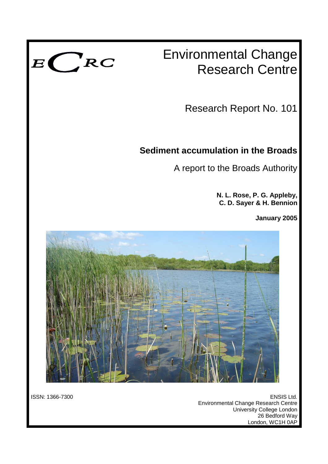

# Environmental Change Research Centre

Research Report No. 101

# **Sediment accumulation in the Broads**

A report to the Broads Authority

**N. L. Rose, P. G. Appleby, C. D. Sayer & H. Bennion**

**January 2005**



ISSN: 1366-7300 ENSIS Ltd. Environmental Change Research Centre University College London 26 Bedford Way London, WC1H 0AP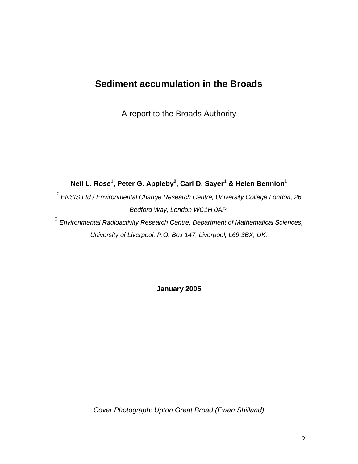# **Sediment accumulation in the Broads**

A report to the Broads Authority

**Neil L. Rose<sup>1</sup> , Peter G. Appleby<sup>2</sup> , Carl D. Sayer<sup>1</sup> & Helen Bennion<sup>1</sup>**

*<sup>1</sup>ENSIS Ltd / Environmental Change Research Centre, University College London, 26 Bedford Way, London WC1H 0AP.*

*2 Environmental Radioactivity Research Centre, Department of Mathematical Sciences, University of Liverpool, P.O. Box 147, Liverpool, L69 3BX, UK.*

**January 2005**

*Cover Photograph: Upton Great Broad (Ewan Shilland)*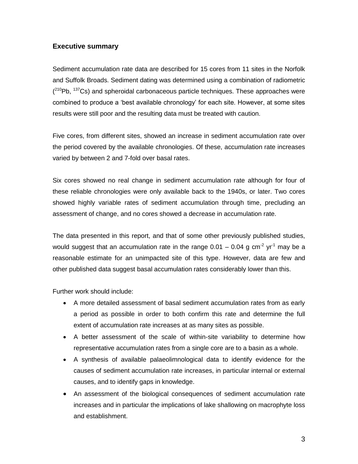# **Executive summary**

Sediment accumulation rate data are described for 15 cores from 11 sites in the Norfolk and Suffolk Broads. Sediment dating was determined using a combination of radiometric  $(^{210}Pb, ^{137}Cs)$  and spheroidal carbonaceous particle techniques. These approaches were combined to produce a 'best available chronology' for each site. However, at some sites results were still poor and the resulting data must be treated with caution.

Five cores, from different sites, showed an increase in sediment accumulation rate over the period covered by the available chronologies. Of these, accumulation rate increases varied by between 2 and 7-fold over basal rates.

Six cores showed no real change in sediment accumulation rate although for four of these reliable chronologies were only available back to the 1940s, or later. Two cores showed highly variable rates of sediment accumulation through time, precluding an assessment of change, and no cores showed a decrease in accumulation rate.

The data presented in this report, and that of some other previously published studies, would suggest that an accumulation rate in the range 0.01  $-$  0.04 g cm<sup>-2</sup> yr<sup>-1</sup> may be a reasonable estimate for an unimpacted site of this type. However, data are few and other published data suggest basal accumulation rates considerably lower than this.

Further work should include:

- A more detailed assessment of basal sediment accumulation rates from as early a period as possible in order to both confirm this rate and determine the full extent of accumulation rate increases at as many sites as possible.
- A better assessment of the scale of within-site variability to determine how representative accumulation rates from a single core are to a basin as a whole.
- A synthesis of available palaeolimnological data to identify evidence for the causes of sediment accumulation rate increases, in particular internal or external causes, and to identify gaps in knowledge.
- An assessment of the biological consequences of sediment accumulation rate increases and in particular the implications of lake shallowing on macrophyte loss and establishment.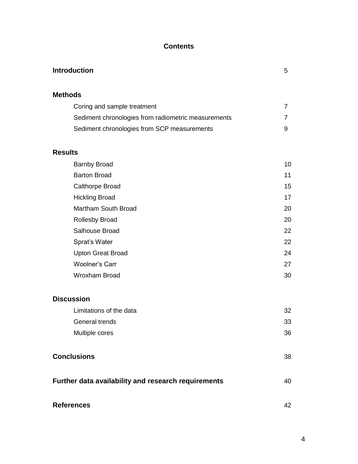# **Contents**

| <b>Introduction</b>                                 | 5  |
|-----------------------------------------------------|----|
| <b>Methods</b>                                      |    |
| Coring and sample treatment                         | 7  |
| Sediment chronologies from radiometric measurements | 7  |
| Sediment chronologies from SCP measurements         | 9  |
| <b>Results</b>                                      |    |
| <b>Barnby Broad</b>                                 | 10 |
| <b>Barton Broad</b>                                 | 11 |
| Calthorpe Broad                                     | 15 |
| <b>Hickling Broad</b>                               | 17 |
| Martham South Broad                                 | 20 |
| Rollesby Broad                                      | 20 |
| Salhouse Broad                                      | 22 |
| Sprat's Water                                       | 22 |
| <b>Upton Great Broad</b>                            | 24 |
| <b>Woolner's Carr</b>                               | 27 |
| <b>Wroxham Broad</b>                                | 30 |
| <b>Discussion</b>                                   |    |
| Limitations of the data                             | 32 |
| General trends                                      | 33 |
| Multiple cores                                      | 36 |
| <b>Conclusions</b>                                  | 38 |
| Further data availability and research requirements | 40 |
| <b>References</b>                                   | 42 |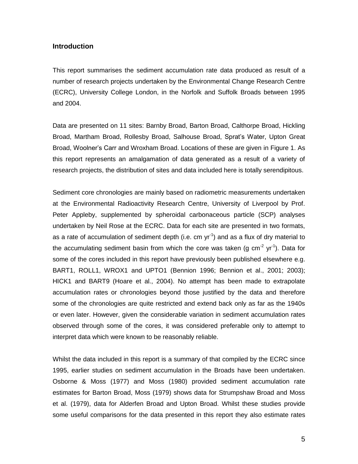# **Introduction**

This report summarises the sediment accumulation rate data produced as result of a number of research projects undertaken by the Environmental Change Research Centre (ECRC), University College London, in the Norfolk and Suffolk Broads between 1995 and 2004.

Data are presented on 11 sites: Barnby Broad, Barton Broad, Calthorpe Broad, Hickling Broad, Martham Broad, Rollesby Broad, Salhouse Broad, Sprat's Water, Upton Great Broad, Woolner's Carr and Wroxham Broad. Locations of these are given in Figure 1. As this report represents an amalgamation of data generated as a result of a variety of research projects, the distribution of sites and data included here is totally serendipitous.

Sediment core chronologies are mainly based on radiometric measurements undertaken at the Environmental Radioactivity Research Centre, University of Liverpool by Prof. Peter Appleby, supplemented by spheroidal carbonaceous particle (SCP) analyses undertaken by Neil Rose at the ECRC. Data for each site are presented in two formats, as a rate of accumulation of sediment depth (i.e. cm  $yr^{-1}$ ) and as a flux of dry material to the accumulating sediment basin from which the core was taken (g cm<sup>-2</sup> yr<sup>-1</sup>). Data for some of the cores included in this report have previously been published elsewhere e.g. BART1, ROLL1, WROX1 and UPTO1 (Bennion 1996; Bennion et al., 2001; 2003); HICK1 and BART9 (Hoare et al., 2004). No attempt has been made to extrapolate accumulation rates or chronologies beyond those justified by the data and therefore some of the chronologies are quite restricted and extend back only as far as the 1940s or even later. However, given the considerable variation in sediment accumulation rates observed through some of the cores, it was considered preferable only to attempt to interpret data which were known to be reasonably reliable.

Whilst the data included in this report is a summary of that compiled by the ECRC since 1995, earlier studies on sediment accumulation in the Broads have been undertaken. Osborne & Moss (1977) and Moss (1980) provided sediment accumulation rate estimates for Barton Broad, Moss (1979) shows data for Strumpshaw Broad and Moss et al. (1979), data for Alderfen Broad and Upton Broad. Whilst these studies provide some useful comparisons for the data presented in this report they also estimate rates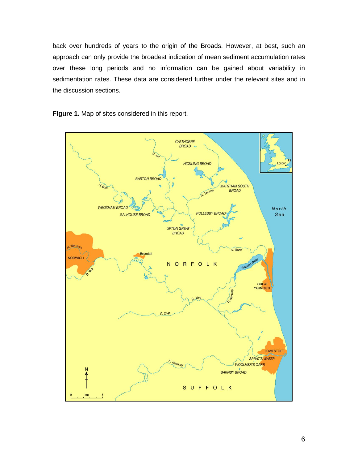back over hundreds of years to the origin of the Broads. However, at best, such an approach can only provide the broadest indication of mean sediment accumulation rates over these long periods and no information can be gained about variability in sedimentation rates. These data are considered further under the relevant sites and in the discussion sections.

**Figure 1.** Map of sites considered in this report.

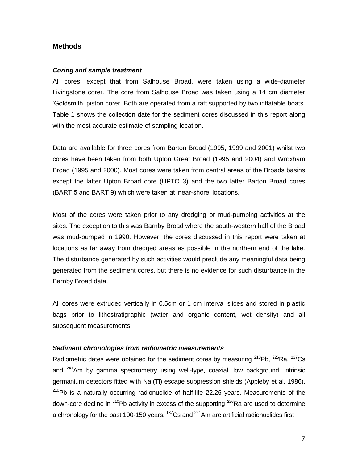# **Methods**

#### *Coring and sample treatment*

All cores, except that from Salhouse Broad, were taken using a wide-diameter Livingstone corer. The core from Salhouse Broad was taken using a 14 cm diameter 'Goldsmith' piston corer. Both are operated from a raft supported by two inflatable boats. Table 1 shows the collection date for the sediment cores discussed in this report along with the most accurate estimate of sampling location.

Data are available for three cores from Barton Broad (1995, 1999 and 2001) whilst two cores have been taken from both Upton Great Broad (1995 and 2004) and Wroxham Broad (1995 and 2000). Most cores were taken from central areas of the Broads basins except the latter Upton Broad core (UPTO 3) and the two latter Barton Broad cores (BART 5 and BART 9) which were taken at 'near-shore' locations.

Most of the cores were taken prior to any dredging or mud-pumping activities at the sites. The exception to this was Barnby Broad where the south-western half of the Broad was mud-pumped in 1990. However, the cores discussed in this report were taken at locations as far away from dredged areas as possible in the northern end of the lake. The disturbance generated by such activities would preclude any meaningful data being generated from the sediment cores, but there is no evidence for such disturbance in the Barnby Broad data.

All cores were extruded vertically in 0.5cm or 1 cm interval slices and stored in plastic bags prior to lithostratigraphic (water and organic content, wet density) and all subsequent measurements.

# *Sediment chronologies from radiometric measurements*

Radiometric dates were obtained for the sediment cores by measuring  $^{210}Pb$ ,  $^{226}Ra$ ,  $^{137}Cs$ and  $241$ Am by gamma spectrometry using well-type, coaxial, low background, intrinsic germanium detectors fitted with NaI(Tl) escape suppression shields (Appleby et al. 1986).  $210Pb$  is a naturally occurring radionuclide of half-life 22.26 years. Measurements of the down-core decline in <sup>210</sup>Pb activity in excess of the supporting  $^{226}$ Ra are used to determine a chronology for the past 100-150 years.  $137$ Cs and  $241$ Am are artificial radionuclides first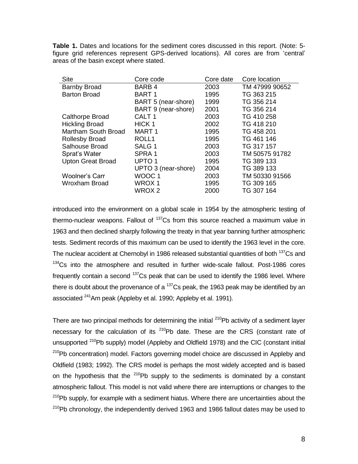**Table 1.** Dates and locations for the sediment cores discussed in this report. (Note: 5 figure grid references represent GPS-derived locations). All cores are from 'central' areas of the basin except where stated.

| <b>Site</b>              | Core code           | Core date | Core location  |
|--------------------------|---------------------|-----------|----------------|
| <b>Barnby Broad</b>      | BARB 4              | 2003      | TM 47999 90652 |
| <b>Barton Broad</b>      | <b>BART1</b>        | 1995      | TG 363 215     |
|                          | BART 5 (near-shore) | 1999      | TG 356 214     |
|                          | BART 9 (near-shore) | 2001      | TG 356 214     |
| <b>Calthorpe Broad</b>   | CALT <sub>1</sub>   | 2003      | TG 410 258     |
| <b>Hickling Broad</b>    | HICK <sub>1</sub>   | 2002      | TG 418 210     |
| Martham South Broad      | MART 1              | 1995      | TG 458 201     |
| <b>Rollesby Broad</b>    | ROLL <sub>1</sub>   | 1995      | TG 461 146     |
| Salhouse Broad           | SALG <sub>1</sub>   | 2003      | TG 317 157     |
| Sprat's Water            | SPRA 1              | 2003      | TM 50575 91782 |
| <b>Upton Great Broad</b> | UPTO <sub>1</sub>   | 1995      | TG 389 133     |
|                          | UPTO 3 (near-shore) | 2004      | TG 389 133     |
| Woolner's Carr           | WOOC <sub>1</sub>   | 2003      | TM 50330 91566 |
| Wroxham Broad            | WROX 1              | 1995      | TG 309 165     |
|                          | WROX <sub>2</sub>   | 2000      | TG 307 164     |

introduced into the environment on a global scale in 1954 by the atmospheric testing of thermo-nuclear weapons. Fallout of  $137$ Cs from this source reached a maximum value in 1963 and then declined sharply following the treaty in that year banning further atmospheric tests. Sediment records of this maximum can be used to identify the 1963 level in the core. The nuclear accident at Chernobyl in 1986 released substantial quantities of both <sup>137</sup>Cs and <sup>134</sup>Cs into the atmosphere and resulted in further wide-scale fallout. Post-1986 cores frequently contain a second  $137$ Cs peak that can be used to identify the 1986 level. Where there is doubt about the provenance of a  $137$ Cs peak, the 1963 peak may be identified by an associated <sup>241</sup>Am peak (Appleby et al. 1990; Appleby et al. 1991).

There are two principal methods for determining the initial  $^{210}$ Pb activity of a sediment layer necessary for the calculation of its  $210$ Pb date. These are the CRS (constant rate of unsupported <sup>210</sup>Pb supply) model (Appleby and Oldfield 1978) and the CIC (constant initial <sup>210</sup>Pb concentration) model. Factors governing model choice are discussed in Appleby and Oldfield (1983; 1992). The CRS model is perhaps the most widely accepted and is based on the hypothesis that the  $^{210}Pb$  supply to the sediments is dominated by a constant atmospheric fallout. This model is not valid where there are interruptions or changes to the  $210Pb$  supply, for example with a sediment hiatus. Where there are uncertainties about the  $210$ Pb chronology, the independently derived 1963 and 1986 fallout dates may be used to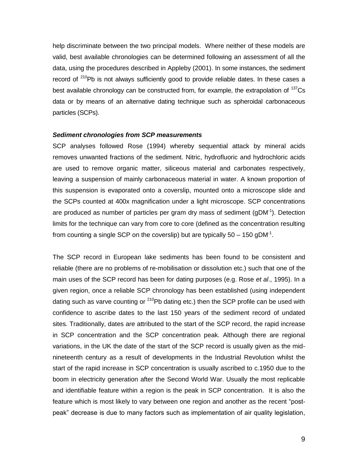help discriminate between the two principal models. Where neither of these models are valid, best available chronologies can be determined following an assessment of all the data, using the procedures described in Appleby (2001). In some instances, the sediment record of  $210$ Pb is not always sufficiently good to provide reliable dates. In these cases a best available chronology can be constructed from, for example, the extrapolation of <sup>137</sup>Cs data or by means of an alternative dating technique such as spheroidal carbonaceous particles (SCPs).

#### *Sediment chronologies from SCP measurements*

SCP analyses followed Rose (1994) whereby sequential attack by mineral acids removes unwanted fractions of the sediment. Nitric, hydrofluoric and hydrochloric acids are used to remove organic matter, siliceous material and carbonates respectively, leaving a suspension of mainly carbonaceous material in water. A known proportion of this suspension is evaporated onto a coverslip, mounted onto a microscope slide and the SCPs counted at 400x magnification under a light microscope. SCP concentrations are produced as number of particles per gram dry mass of sediment (gDM $1$ ). Detection limits for the technique can vary from core to core (defined as the concentration resulting from counting a single SCP on the coverslip) but are typically 50 – 150 gDM<sup>-1</sup>.

The SCP record in European lake sediments has been found to be consistent and reliable (there are no problems of re-mobilisation or dissolution etc.) such that one of the main uses of the SCP record has been for dating purposes (e.g. Rose *et al*., 1995). In a given region, once a reliable SCP chronology has been established (using independent dating such as varve counting or  $210$ Pb dating etc.) then the SCP profile can be used with confidence to ascribe dates to the last 150 years of the sediment record of undated sites. Traditionally, dates are attributed to the start of the SCP record, the rapid increase in SCP concentration and the SCP concentration peak. Although there are regional variations, in the UK the date of the start of the SCP record is usually given as the midnineteenth century as a result of developments in the Industrial Revolution whilst the start of the rapid increase in SCP concentration is usually ascribed to c.1950 due to the boom in electricity generation after the Second World War. Usually the most replicable and identifiable feature within a region is the peak in SCP concentration. It is also the feature which is most likely to vary between one region and another as the recent "postpeak" decrease is due to many factors such as implementation of air quality legislation,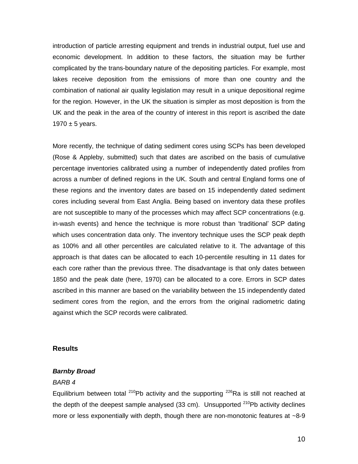introduction of particle arresting equipment and trends in industrial output, fuel use and economic development. In addition to these factors, the situation may be further complicated by the trans-boundary nature of the depositing particles. For example, most lakes receive deposition from the emissions of more than one country and the combination of national air quality legislation may result in a unique depositional regime for the region. However, in the UK the situation is simpler as most deposition is from the UK and the peak in the area of the country of interest in this report is ascribed the date 1970  $\pm$  5 years.

More recently, the technique of dating sediment cores using SCPs has been developed (Rose & Appleby, submitted) such that dates are ascribed on the basis of cumulative percentage inventories calibrated using a number of independently dated profiles from across a number of defined regions in the UK. South and central England forms one of these regions and the inventory dates are based on 15 independently dated sediment cores including several from East Anglia. Being based on inventory data these profiles are not susceptible to many of the processes which may affect SCP concentrations (e.g. in-wash events) and hence the technique is more robust than 'traditional' SCP dating which uses concentration data only. The inventory technique uses the SCP peak depth as 100% and all other percentiles are calculated relative to it. The advantage of this approach is that dates can be allocated to each 10-percentile resulting in 11 dates for each core rather than the previous three. The disadvantage is that only dates between 1850 and the peak date (here, 1970) can be allocated to a core. Errors in SCP dates ascribed in this manner are based on the variability between the 15 independently dated sediment cores from the region, and the errors from the original radiometric dating against which the SCP records were calibrated.

# **Results**

#### *Barnby Broad*

#### *BARB 4*

Equilibrium between total  $^{210}$ Pb activity and the supporting  $^{226}$ Ra is still not reached at the depth of the deepest sample analysed (33 cm). Unsupported  $210Pb$  activity declines more or less exponentially with depth, though there are non-monotonic features at  $\sim$ 8-9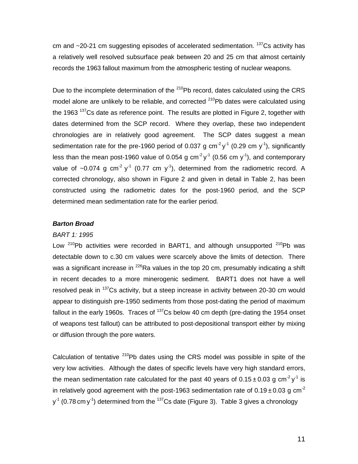cm and  $\sim$ 20-21 cm suggesting episodes of accelerated sedimentation.  $137$ Cs activity has a relatively well resolved subsurface peak between 20 and 25 cm that almost certainly records the 1963 fallout maximum from the atmospheric testing of nuclear weapons.

Due to the incomplete determination of the <sup>210</sup>Pb record, dates calculated using the CRS model alone are unlikely to be reliable, and corrected  $^{210}$ Pb dates were calculated using the 1963  $137$ Cs date as reference point. The results are plotted in Figure 2, together with dates determined from the SCP record. Where they overlap, these two independent chronologies are in relatively good agreement. The SCP dates suggest a mean sedimentation rate for the pre-1960 period of 0.037 g cm<sup>-2</sup> y<sup>-1</sup> (0.29 cm y<sup>-1</sup>), significantly less than the mean post-1960 value of 0.054 g cm<sup>-2</sup> y<sup>-1</sup> (0.56 cm y<sup>-1</sup>), and contemporary value of ~0.074 g cm<sup>-2</sup> y<sup>-1</sup> (0.77 cm y<sup>-1</sup>), determined from the radiometric record. A corrected chronology, also shown in Figure 2 and given in detail in Table 2, has been constructed using the radiometric dates for the post-1960 period, and the SCP determined mean sedimentation rate for the earlier period.

# *Barton Broad*

# *BART 1: 1995*

Low  $210Pb$  activities were recorded in BART1, and although unsupported  $210Pb$  was detectable down to c.30 cm values were scarcely above the limits of detection. There was a significant increase in  $^{226}$ Ra values in the top 20 cm, presumably indicating a shift in recent decades to a more minerogenic sediment. BART1 does not have a well resolved peak in <sup>137</sup>Cs activity, but a steep increase in activity between 20-30 cm would appear to distinguish pre-1950 sediments from those post-dating the period of maximum fallout in the early 1960s. Traces of  $137$ Cs below 40 cm depth (pre-dating the 1954 onset of weapons test fallout) can be attributed to post-depositional transport either by mixing or diffusion through the pore waters.

Calculation of tentative  $210Pb$  dates using the CRS model was possible in spite of the very low activities. Although the dates of specific levels have very high standard errors, the mean sedimentation rate calculated for the past 40 years of 0.15 $\pm$ 0.03 g cm<sup>-2</sup> y<sup>-1</sup> is in relatively good agreement with the post-1963 sedimentation rate of  $0.19 \pm 0.03$  g cm<sup>-2</sup>  $y<sup>-1</sup>$  (0.78 cm  $y<sup>-1</sup>$ ) determined from the  $^{137}$ Cs date (Figure 3). Table 3 gives a chronology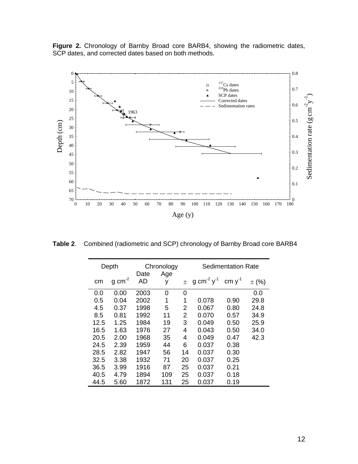**Figure 2.** Chronology of Barnby Broad core BARB4, showing the radiometric dates, SCP dates, and corrected dates based on both methods.



**Table 2**. Combined (radiometric and SCP) chronology of Barnby Broad core BARB4

|      | Depth                 |            | Chronology | Sedimentation Rate |                             |             |           |
|------|-----------------------|------------|------------|--------------------|-----------------------------|-------------|-----------|
| cm   | $g \, \text{cm}^{-2}$ | Date<br>AD | Age<br>у   | 土                  | g cm <sup>-2</sup> $y^{-1}$ | cm $y^{-1}$ | $\pm$ (%) |
| 0.0  | 0.00                  | 2003       | 0          | 0                  |                             |             | 0.0       |
| 0.5  | 0.04                  | 2002       | 1          | 1                  | 0.078                       | 0.90        | 29.8      |
| 4.5  | 0.37                  | 1998       | 5          | 2                  | 0.067                       | 0.80        | 24.8      |
| 8.5  | 0.81                  | 1992       | 11         | 2                  | 0.070                       | 0.57        | 34.9      |
| 12.5 | 1.25                  | 1984       | 19         | 3                  | 0.049                       | 0.50        | 25.9      |
| 16.5 | 1.63                  | 1976       | 27         | 4                  | 0.043                       | 0.50        | 34.0      |
| 20.5 | 2.00                  | 1968       | 35         | 4                  | 0.049                       | 0.47        | 42.3      |
| 24.5 | 2.39                  | 1959       | 44         | 6                  | 0.037                       | 0.38        |           |
| 28.5 | 2.82                  | 1947       | 56         | 14                 | 0.037                       | 0.30        |           |
| 32.5 | 3.38                  | 1932       | 71         | 20                 | 0.037                       | 0.25        |           |
| 36.5 | 3.99                  | 1916       | 87         | 25                 | 0.037                       | 0.21        |           |
| 40.5 | 4.79                  | 1894       | 109        | 25                 | 0.037                       | 0.18        |           |
| 44.5 | 5.60                  | 1872       | 131        | 25                 | 0.037                       | 0.19        |           |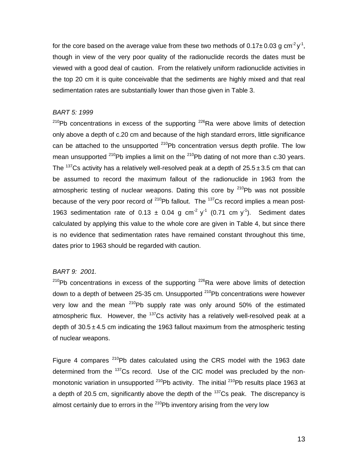for the core based on the average value from these two methods of 0.17 $\pm$ 0.03 g cm<sup>-2</sup>y<sup>-1</sup>, though in view of the very poor quality of the radionuclide records the dates must be viewed with a good deal of caution. From the relatively uniform radionuclide activities in the top 20 cm it is quite conceivable that the sediments are highly mixed and that real sedimentation rates are substantially lower than those given in Table 3.

# *BART 5: 1999*

 $^{210}$ Pb concentrations in excess of the supporting  $^{226}$ Ra were above limits of detection only above a depth of c.20 cm and because of the high standard errors, little significance can be attached to the unsupported  $^{210}Pb$  concentration versus depth profile. The low mean unsupported  $^{210}$ Pb implies a limit on the  $^{210}$ Pb dating of not more than c.30 years. The <sup>137</sup>Cs activity has a relatively well-resolved peak at a depth of  $25.5 \pm 3.5$  cm that can be assumed to record the maximum fallout of the radionuclide in 1963 from the atmospheric testing of nuclear weapons. Dating this core by  $210Pb$  was not possible because of the very poor record of  $^{210}Pb$  fallout. The  $^{137}Cs$  record implies a mean post-1963 sedimentation rate of 0.13  $\pm$  0.04 g cm<sup>-2</sup> y<sup>-1</sup> (0.71 cm y<sup>-1</sup>). Sediment dates calculated by applying this value to the whole core are given in Table 4, but since there is no evidence that sedimentation rates have remained constant throughout this time, dates prior to 1963 should be regarded with caution.

# *BART 9: 2001.*

 $210$ Pb concentrations in excess of the supporting  $226$ Ra were above limits of detection down to a depth of between 25-35 cm. Unsupported  $^{210}$ Pb concentrations were however very low and the mean  $210$ Pb supply rate was only around 50% of the estimated atmospheric flux. However, the  $137$ Cs activity has a relatively well-resolved peak at a depth of  $30.5 \pm 4.5$  cm indicating the 1963 fallout maximum from the atmospheric testing of nuclear weapons.

Figure 4 compares <sup>210</sup>Pb dates calculated using the CRS model with the 1963 date determined from the <sup>137</sup>Cs record. Use of the CIC model was precluded by the nonmonotonic variation in unsupported  $^{210}$ Pb activity. The initial  $^{210}$ Pb results place 1963 at a depth of 20.5 cm, significantly above the depth of the  $137$ Cs peak. The discrepancy is almost certainly due to errors in the  $210Pb$  inventory arising from the very low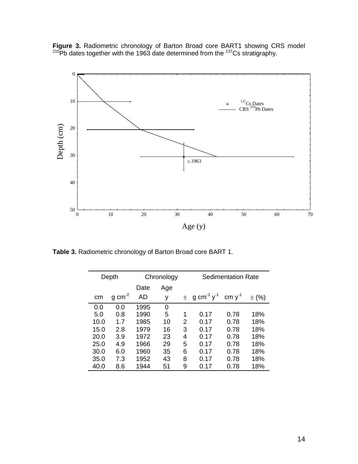**Figure 3.** Radiometric chronology of Barton Broad core BART1 showing CRS model  $^{210}$ Pb dates together with the 1963 date determined from the  $^{137}$ Cs stratigraphy.



**Table 3.** Radiometric chronology of Barton Broad core BART 1.

|      | Depth               | Chronology |     |       | <b>Sedimentation Rate</b>          |             |           |
|------|---------------------|------------|-----|-------|------------------------------------|-------------|-----------|
|      |                     | Date       | Age |       |                                    |             |           |
| cm   | $g \text{ cm}^{-2}$ | AD         | у   | $\pm$ | g cm <sup>-2</sup> y <sup>-1</sup> | cm $y^{-1}$ | $\pm$ (%) |
| 0.0  | 0.0                 | 1995       | 0   |       |                                    |             |           |
| 5.0  | 0.8                 | 1990       | 5   | 1     | 0.17                               | 0.78        | 18%       |
| 10.0 | 1.7                 | 1985       | 10  | 2     | 0.17                               | 0.78        | 18%       |
| 15.0 | 2.8                 | 1979       | 16  | 3     | 0.17                               | 0.78        | 18%       |
| 20.0 | 3.9                 | 1972       | 23  | 4     | 0.17                               | 0.78        | 18%       |
| 25.0 | 4.9                 | 1966       | 29  | 5     | 0.17                               | 0.78        | 18%       |
| 30.0 | 6.0                 | 1960       | 35  | 6     | 0.17                               | 0.78        | 18%       |
| 35.0 | 7.3                 | 1952       | 43  | 8     | 0.17                               | 0.78        | 18%       |
| 40.0 | 8.6                 | 1944       | 51  | 9     | 0.17                               | 0.78        | 18%       |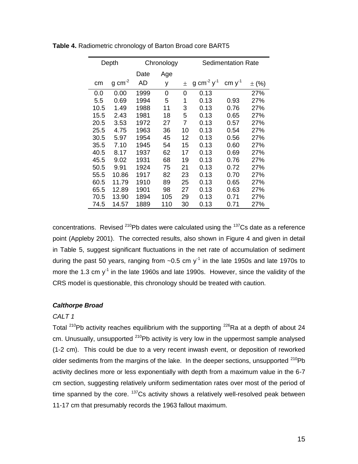|      | Depth              |      | Chronology | <b>Sedimentation Rate</b> |                                    |             |            |
|------|--------------------|------|------------|---------------------------|------------------------------------|-------------|------------|
|      |                    | Date | Age        |                           |                                    |             |            |
| cm   | $g \, \text{cm}^2$ | AD   | У          | 士                         | g cm <sup>-2</sup> y <sup>-1</sup> | cm $y^{-1}$ | $\pm$ (%)  |
| 0.0  | 0.00               | 1999 | 0          | 0                         | 0.13                               |             | <b>27%</b> |
| 5.5  | 0.69               | 1994 | 5          | 1                         | 0.13                               | 0.93        | 27%        |
| 10.5 | 1.49               | 1988 | 11         | 3                         | 0.13                               | 0.76        | 27%        |
| 15.5 | 2.43               | 1981 | 18         | 5                         | 0.13                               | 0.65        | 27%        |
| 20.5 | 3.53               | 1972 | 27         | 7                         | 0.13                               | 0.57        | 27%        |
| 25.5 | 4.75               | 1963 | 36         | 10                        | 0.13                               | 0.54        | 27%        |
| 30.5 | 5.97               | 1954 | 45         | 12                        | 0.13                               | 0.56        | 27%        |
| 35.5 | 7.10               | 1945 | 54         | 15                        | 0.13                               | 0.60        | 27%        |
| 40.5 | 8.17               | 1937 | 62         | 17                        | 0.13                               | 0.69        | 27%        |
| 45.5 | 9.02               | 1931 | 68         | 19                        | 0.13                               | 0.76        | 27%        |
| 50.5 | 9.91               | 1924 | 75         | 21                        | 0.13                               | 0.72        | 27%        |
| 55.5 | 10.86              | 1917 | 82         | 23                        | 0.13                               | 0.70        | 27%        |
| 60.5 | 11.79              | 1910 | 89         | 25                        | 0.13                               | 0.65        | 27%        |
| 65.5 | 12.89              | 1901 | 98         | 27                        | 0.13                               | 0.63        | 27%        |
| 70.5 | 13.90              | 1894 | 105        | 29                        | 0.13                               | 0.71        | 27%        |
| 74.5 | 14.57              | 1889 | 110        | 30                        | 0.13                               | 0.71        | 27%        |

**Table 4.** Radiometric chronology of Barton Broad core BART5

concentrations. Revised  $^{210}$ Pb dates were calculated using the  $^{137}$ Cs date as a reference point (Appleby 2001). The corrected results, also shown in Figure 4 and given in detail in Table 5, suggest significant fluctuations in the net rate of accumulation of sediment during the past 50 years, ranging from  $\sim$ 0.5 cm y<sup>-1</sup> in the late 1950s and late 1970s to more the 1.3 cm  $y<sup>-1</sup>$  in the late 1960s and late 1990s. However, since the validity of the CRS model is questionable, this chronology should be treated with caution.

#### *Calthorpe Broad*

#### *CALT 1*

Total <sup>210</sup>Pb activity reaches equilibrium with the supporting <sup>226</sup>Ra at a depth of about 24 cm. Unusually, unsupported  $210$ Pb activity is very low in the uppermost sample analysed (1-2 cm). This could be due to a very recent inwash event, or deposition of reworked older sediments from the margins of the lake. In the deeper sections, unsupported  $^{210}Pb$ activity declines more or less exponentially with depth from a maximum value in the 6-7 cm section, suggesting relatively uniform sedimentation rates over most of the period of time spanned by the core.  $137$ Cs activity shows a relatively well-resolved peak between 11-17 cm that presumably records the 1963 fallout maximum.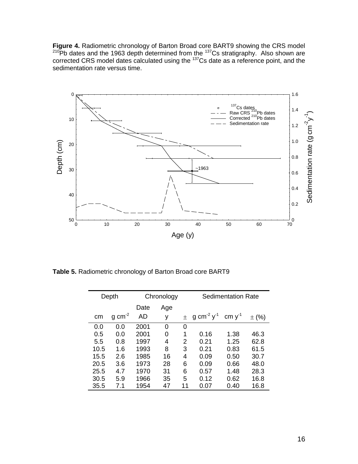**Figure 4.** Radiometric chronology of Barton Broad core BART9 showing the CRS model  $^{210}$ Pb dates and the 1963 depth determined from the  $^{137}$ Cs stratigraphy. Also shown are corrected CRS model dates calculated using the  $137$ Cs date as a reference point, and the sedimentation rate versus time.



**Table 5.** Radiometric chronology of Barton Broad core BART9

|      | Depth               |      | Chronology |    | <b>Sedimentation Rate</b>   |             |           |
|------|---------------------|------|------------|----|-----------------------------|-------------|-----------|
|      |                     | Date | Age        |    |                             |             |           |
| cm   | $g \text{ cm}^{-2}$ | AD   | у          | 土  | g cm <sup>-2</sup> $y^{-1}$ | cm $y^{-1}$ | $\pm$ (%) |
| 0.0  | 0.0                 | 2001 | 0          | 0  |                             |             |           |
| 0.5  | 0.0                 | 2001 | 0          | 1  | 0.16                        | 1.38        | 46.3      |
| 5.5  | 0.8                 | 1997 | 4          | 2  | 0.21                        | 1.25        | 62.8      |
| 10.5 | 1.6                 | 1993 | 8          | 3  | 0.21                        | 0.83        | 61.5      |
| 15.5 | 2.6                 | 1985 | 16         | 4  | 0.09                        | 0.50        | 30.7      |
| 20.5 | 3.6                 | 1973 | 28         | 6  | 0.09                        | 0.66        | 48.0      |
| 25.5 | 4.7                 | 1970 | 31         | 6  | 0.57                        | 1.48        | 28.3      |
| 30.5 | 5.9                 | 1966 | 35         | 5  | 0.12                        | 0.62        | 16.8      |
| 35.5 | 7.1                 | 1954 | 47         | 11 | 0.07                        | 0.40        | 16.8      |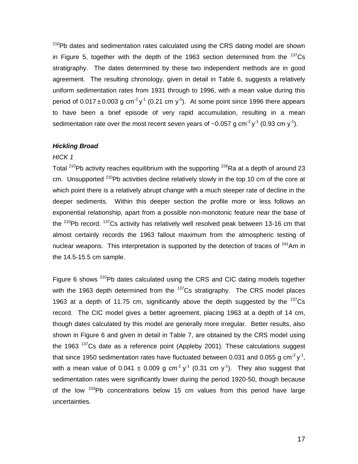$210Pb$  dates and sedimentation rates calculated using the CRS dating model are shown in Figure 5, together with the depth of the 1963 section determined from the  $137Cs$ stratigraphy. The dates determined by these two independent methods are in good agreement. The resulting chronology, given in detail in Table 6, suggests a relatively uniform sedimentation rates from 1931 through to 1996, with a mean value during this period of 0.017 $\pm$ 0.003 g cm<sup>-2</sup> y<sup>-1</sup> (0.21 cm y<sup>-1</sup>). At some point since 1996 there appears to have been a brief episode of very rapid accumulation, resulting in a mean sedimentation rate over the most recent seven years of ~0.057 g cm<sup>-2</sup> y<sup>-1</sup> (0.93 cm y<sup>-1</sup>).

#### *Hickling Broad*

# *HICK 1*

Total <sup>210</sup>Pb activity reaches equilibrium with the supporting <sup>226</sup>Ra at a depth of around 23 cm. Unsupported  $210Pb$  activities decline relatively slowly in the top 10 cm of the core at which point there is a relatively abrupt change with a much steeper rate of decline in the deeper sediments. Within this deeper section the profile more or less follows an exponential relationship, apart from a possible non-monotonic feature near the base of the  $210$ Pb record.  $137$ Cs activity has relatively well resolved peak between 13-16 cm that almost certainly records the 1963 fallout maximum from the atmospheric testing of nuclear weapons. This interpretation is supported by the detection of traces of  $241$ Am in the 14.5-15.5 cm sample.

Figure 6 shows  $^{210}$ Pb dates calculated using the CRS and CIC dating models together with the 1963 depth determined from the  $137$ Cs stratigraphy. The CRS model places 1963 at a depth of 11.75 cm, significantly above the depth suggested by the  $137Cs$ record. The CIC model gives a better agreement, placing 1963 at a depth of 14 cm, though dates calculated by this model are generally more irregular. Better results, also shown in Figure 6 and given in detail in Table 7, are obtained by the CRS model using the 1963  $137Cs$  date as a reference point (Appleby 2001). These calculations suggest that since 1950 sedimentation rates have fluctuated between 0.031 and 0.055 g cm<sup>-2</sup>y<sup>-1</sup>, with a mean value of 0.041  $\pm$  0.009 g cm<sup>-2</sup> y<sup>-1</sup> (0.31 cm y<sup>-1</sup>). They also suggest that sedimentation rates were significantly lower during the period 1920-50, though because of the low  $210Pb$  concentrations below 15 cm values from this period have large uncertainties.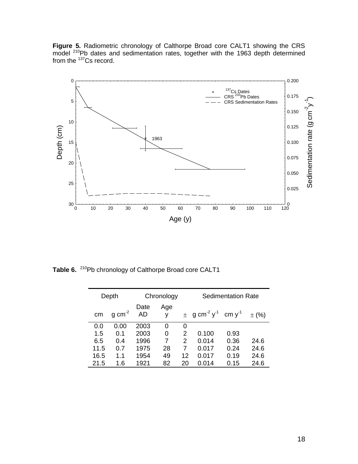Figure 5. Radiometric chronology of Calthorpe Broad core CALT1 showing the CRS model  $210$ Pb dates and sedimentation rates, together with the 1963 depth determined from the <sup>137</sup>Cs record.



Table 6. <sup>210</sup>Pb chronology of Calthorpe Broad core CALT1

|      | Depth               |            | Chronology<br><b>Sedimentation Rate</b> |    |                                                             |      |           |
|------|---------------------|------------|-----------------------------------------|----|-------------------------------------------------------------|------|-----------|
| cm   | $q \text{ cm}^{-2}$ | Date<br>AD | Age<br>٧                                |    | $\pm$ g cm <sup>-2</sup> y <sup>-1</sup> cm y <sup>-1</sup> |      | $\pm$ (%) |
| 0.0  | 0.00                | 2003       | 0                                       | 0  |                                                             |      |           |
| 1.5  | 0.1                 | 2003       | 0                                       | 2  | 0.100                                                       | 0.93 |           |
| 6.5  | 0.4                 | 1996       | 7                                       | 2  | 0.014                                                       | 0.36 | 24.6      |
| 11.5 | 0.7                 | 1975       | 28                                      | 7  | 0.017                                                       | 0.24 | 24.6      |
| 16.5 | 1.1                 | 1954       | 49                                      | 12 | 0.017                                                       | 0.19 | 24.6      |
| 21.5 | 1.6                 | 1921       | 82                                      | 20 | 0.014                                                       | 0.15 | 24.6      |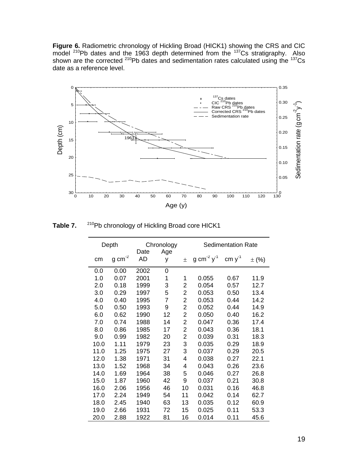**Figure 6.** Radiometric chronology of Hickling Broad (HICK1) showing the CRS and CIC model  $^{210}$ Pb dates and the 1963 depth determined from the  $^{137}$ Cs stratigraphy. Also shown are the corrected <sup>210</sup>Pb dates and sedimentation rates calculated using the  $^{137}Cs$ date as a reference level.



**Table 7.** <sup>210</sup>Pb chronology of Hickling Broad core HICK1

|      | Depth               |                   | Chronology |       | <b>Sedimentation Rate</b>   |             |           |
|------|---------------------|-------------------|------------|-------|-----------------------------|-------------|-----------|
| cm   | $g \text{ cm}^{-2}$ | Date<br><b>AD</b> | Age<br>У   | $\pm$ | g cm <sup>-2</sup> $y^{-1}$ | cm $y^{-1}$ | $\pm$ (%) |
| 0.0  | 0.00                | 2002              | 0          |       |                             |             |           |
| 1.0  | 0.07                | 2001              | 1          | 1     | 0.055                       | 0.67        | 11.9      |
| 2.0  | 0.18                | 1999              | 3          | 2     | 0.054                       | 0.57        | 12.7      |
| 3.0  | 0.29                | 1997              | 5          | 2     | 0.053                       | 0.50        | 13.4      |
| 4.0  | 0.40                | 1995              | 7          | 2     | 0.053                       | 0.44        | 14.2      |
| 5.0  | 0.50                | 1993              | 9          | 2     | 0.052                       | 0.44        | 14.9      |
| 6.0  | 0.62                | 1990              | 12         | 2     | 0.050                       | 0.40        | 16.2      |
| 7.0  | 0.74                | 1988              | 14         | 2     | 0.047                       | 0.36        | 17.4      |
| 8.0  | 0.86                | 1985              | 17         | 2     | 0.043                       | 0.36        | 18.1      |
| 9.0  | 0.99                | 1982              | 20         | 2     | 0.039                       | 0.31        | 18.3      |
| 10.0 | 1.11                | 1979              | 23         | 3     | 0.035                       | 0.29        | 18.9      |
| 11.0 | 1.25                | 1975              | 27         | 3     | 0.037                       | 0.29        | 20.5      |
| 12.0 | 1.38                | 1971              | 31         | 4     | 0.038                       | 0.27        | 22.1      |
| 13.0 | 1.52                | 1968              | 34         | 4     | 0.043                       | 0.26        | 23.6      |
| 14.0 | 1.69                | 1964              | 38         | 5     | 0.046                       | 0.27        | 26.8      |
| 15.0 | 1.87                | 1960              | 42         | 9     | 0.037                       | 0.21        | 30.8      |
| 16.0 | 2.06                | 1956              | 46         | 10    | 0.031                       | 0.16        | 46.8      |
| 17.0 | 2.24                | 1949              | 54         | 11    | 0.042                       | 0.14        | 62.7      |
| 18.0 | 2.45                | 1940              | 63         | 13    | 0.035                       | 0.12        | 60.9      |
| 19.0 | 2.66                | 1931              | 72         | 15    | 0.025                       | 0.11        | 53.3      |
| 20.0 | 2.88                | 1922              | 81         | 16    | 0.014                       | 0.11        | 45.6      |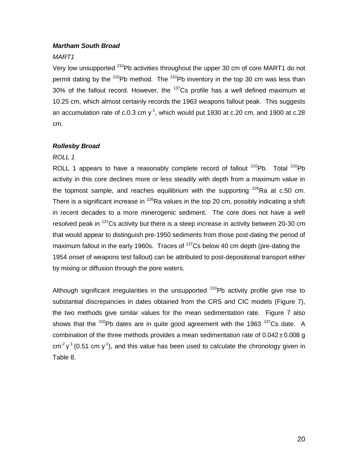# *Martham South Broad*

# *MART1*

Very low unsupported <sup>210</sup>Pb activities throughout the upper 30 cm of core MART1 do not permit dating by the  $^{210}$ Pb method. The  $^{210}$ Pb inventory in the top 30 cm was less than  $30\%$  of the fallout record. However, the  $137$ Cs profile has a well defined maximum at 10.25 cm, which almost certainly records the 1963 weapons fallout peak. This suggests an accumulation rate of c.0.3 cm y<sup>-1</sup>, which would put 1930 at c.20 cm, and 1900 at c.28 cm.

# *Rollesby Broad*

# *ROLL 1*

ROLL 1 appears to have a reasonably complete record of fallout  $^{210}Pb$ . Total  $^{210}Pb$ activity in this core declines more or less steadily with depth from a maximum value in the topmost sample, and reaches equilibrium with the supporting  $226$ Ra at c.50 cm. There is a significant increase in  $^{226}$ Ra values in the top 20 cm, possibly indicating a shift in recent decades to a more minerogenic sediment. The core does not have a well resolved peak in <sup>137</sup>Cs activity but there is a steep increase in activity between 20-30 cm that would appear to distinguish pre-1950 sediments from those post-dating the period of maximum fallout in the early 1960s. Traces of <sup>137</sup>Cs below 40 cm depth (pre-dating the 1954 onset of weapons test fallout) can be attributed to post-depositional transport either by mixing or diffusion through the pore waters.

Although significant irregularities in the unsupported  $210Pb$  activity profile give rise to substantial discrepancies in dates obtained from the CRS and CIC models (Figure 7), the two methods give similar values for the mean sedimentation rate. Figure 7 also shows that the  $210$ Pb dates are in quite good agreement with the 1963  $137$ Cs date. A combination of the three methods provides a mean sedimentation rate of  $0.042 \pm 0.008$  g  $\text{cm}^2 \text{y}^1$  (0.51 cm y<sup>-1</sup>), and this value has been used to calculate the chronology given in Table 8.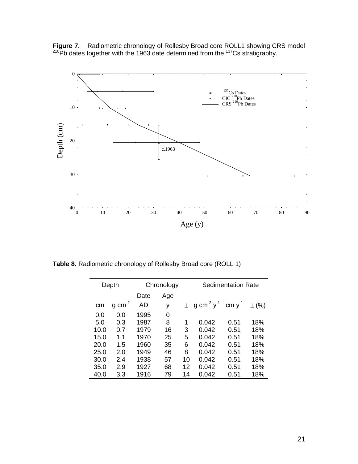**Figure 7.** Radiometric chronology of Rollesby Broad core ROLL1 showing CRS model  $^{210}$ Pb dates together with the 1963 date determined from the  $^{137}$ Cs stratigraphy.



**Table 8.** Radiometric chronology of Rollesby Broad core (ROLL 1)

|      | Chronology<br>Depth |      |     |    |                                          | <b>Sedimentation Rate</b> |           |
|------|---------------------|------|-----|----|------------------------------------------|---------------------------|-----------|
|      |                     | Date | Age |    |                                          |                           |           |
| cm   | $cm-2$<br>a         | AD   | у   |    | $\pm$ g cm <sup>-2</sup> y <sup>-1</sup> | cm $y^{-1}$               | $\pm$ (%) |
| 0.0  | 0.0                 | 1995 | 0   |    |                                          |                           |           |
| 5.0  | 0.3                 | 1987 | 8   | 1  | 0.042                                    | 0.51                      | 18%       |
| 10.0 | 0.7                 | 1979 | 16  | 3  | 0.042                                    | 0.51                      | 18%       |
| 15.0 | 1.1                 | 1970 | 25  | 5  | 0.042                                    | 0.51                      | 18%       |
| 20.0 | 1.5                 | 1960 | 35  | 6  | 0.042                                    | 0.51                      | 18%       |
| 25.0 | 2.0                 | 1949 | 46  | 8  | 0.042                                    | 0.51                      | 18%       |
| 30.0 | 2.4                 | 1938 | 57  | 10 | 0.042                                    | 0.51                      | 18%       |
| 35.0 | 2.9                 | 1927 | 68  | 12 | 0.042                                    | 0.51                      | 18%       |
| 40.0 | 3.3                 | 1916 | 79  | 14 | 0.042                                    | 0.51                      | 18%       |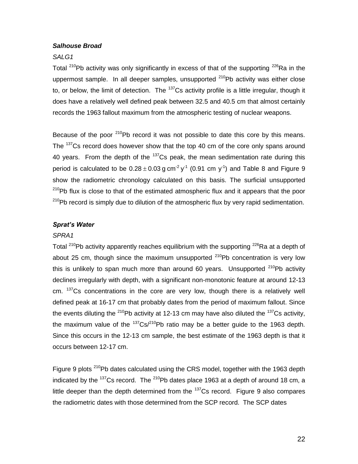# *Salhouse Broad*

# *SALG1*

Total <sup>210</sup>Pb activity was only significantly in excess of that of the supporting  $226$ Ra in the uppermost sample. In all deeper samples, unsupported  $^{210}$ Pb activity was either close to, or below, the limit of detection. The  $137$ Cs activity profile is a little irregular, though it does have a relatively well defined peak between 32.5 and 40.5 cm that almost certainly records the 1963 fallout maximum from the atmospheric testing of nuclear weapons.

Because of the poor  $210$ Pb record it was not possible to date this core by this means. The <sup>137</sup>Cs record does however show that the top 40 cm of the core only spans around 40 years. From the depth of the  $137$ Cs peak, the mean sedimentation rate during this period is calculated to be  $0.28 \pm 0.03$  g cm<sup>-2</sup> y<sup>-1</sup> (0.91 cm y<sup>-1</sup>) and Table 8 and Figure 9 show the radiometric chronology calculated on this basis. The surficial unsupported  $210Pb$  flux is close to that of the estimated atmospheric flux and it appears that the poor <sup>210</sup>Pb record is simply due to dilution of the atmospheric flux by very rapid sedimentation.

#### *Sprat's Water*

#### *SPRA1*

Total <sup>210</sup>Pb activity apparently reaches equilibrium with the supporting <sup>226</sup>Ra at a depth of about 25 cm, though since the maximum unsupported  $^{210}$ Pb concentration is very low this is unlikely to span much more than around 60 years. Unsupported  $210Pb$  activity declines irregularly with depth, with a significant non-monotonic feature at around 12-13 cm. <sup>137</sup>Cs concentrations in the core are very low, though there is a relatively well defined peak at 16-17 cm that probably dates from the period of maximum fallout. Since the events diluting the <sup>210</sup>Pb activity at 12-13 cm may have also diluted the <sup>137</sup>Cs activity, the maximum value of the  $137Cs^{210}Pb$  ratio may be a better guide to the 1963 depth. Since this occurs in the 12-13 cm sample, the best estimate of the 1963 depth is that it occurs between 12-17 cm.

Figure 9 plots  $210Pb$  dates calculated using the CRS model, together with the 1963 depth indicated by the  $137$ Cs record. The  $210$ Pb dates place 1963 at a depth of around 18 cm, a little deeper than the depth determined from the  $137$ Cs record. Figure 9 also compares the radiometric dates with those determined from the SCP record. The SCP dates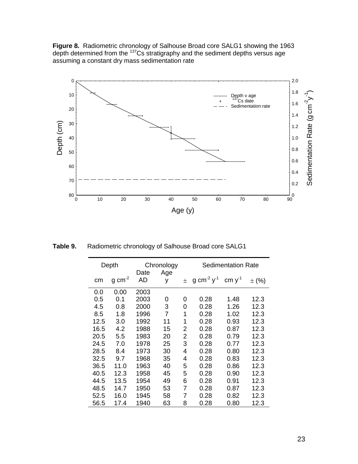**Figure 8.** Radiometric chronology of Salhouse Broad core SALG1 showing the 1963 depth determined from the  $137$ Cs stratigraphy and the sediment depths versus age assuming a constant dry mass sedimentation rate



**Table 9.** Radiometric chronology of Salhouse Broad core SALG1

|      | Depth                 |            | Chronology     | <b>Sedimentation Rate</b> |                             |             |           |
|------|-----------------------|------------|----------------|---------------------------|-----------------------------|-------------|-----------|
| сm   | $g \, \text{cm}^{-2}$ | Date<br>AD | Age<br>у       | $\pm$                     | g cm <sup>-2</sup> $y^{-1}$ | cm $y^{-1}$ | $\pm$ (%) |
| 0.0  | 0.00                  | 2003       |                |                           |                             |             |           |
| 0.5  | 0.1                   | 2003       | 0              | 0                         | 0.28                        | 1.48        | 12.3      |
| 4.5  | 0.8                   | 2000       | 3              | 0                         | 0.28                        | 1.26        | 12.3      |
| 8.5  | 1.8                   | 1996       | $\overline{7}$ | 1                         | 0.28                        | 1.02        | 12.3      |
| 12.5 | 3.0                   | 1992       | 11             | 1                         | 0.28                        | 0.93        | 12.3      |
| 16.5 | 4.2                   | 1988       | 15             | 2                         | 0.28                        | 0.87        | 12.3      |
| 20.5 | 5.5                   | 1983       | 20             | 2                         | 0.28                        | 0.79        | 12.3      |
| 24.5 | 7.0                   | 1978       | 25             | 3                         | 0.28                        | 0.77        | 12.3      |
| 28.5 | 8.4                   | 1973       | 30             | 4                         | 0.28                        | 0.80        | 12.3      |
| 32.5 | 9.7                   | 1968       | 35             | 4                         | 0.28                        | 0.83        | 12.3      |
| 36.5 | 11.0                  | 1963       | 40             | 5                         | 0.28                        | 0.86        | 12.3      |
| 40.5 | 12.3                  | 1958       | 45             | 5                         | 0.28                        | 0.90        | 12.3      |
| 44.5 | 13.5                  | 1954       | 49             | 6                         | 0.28                        | 0.91        | 12.3      |
| 48.5 | 14.7                  | 1950       | 53             | 7                         | 0.28                        | 0.87        | 12.3      |
| 52.5 | 16.0                  | 1945       | 58             | 7                         | 0.28                        | 0.82        | 12.3      |
| 56.5 | 17.4                  | 1940       | 63             | 8                         | 0.28                        | 0.80        | 12.3      |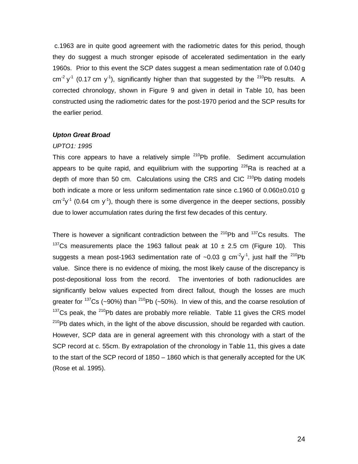c.1963 are in quite good agreement with the radiometric dates for this period, though they do suggest a much stronger episode of accelerated sedimentation in the early 1960s. Prior to this event the SCP dates suggest a mean sedimentation rate of 0.040 g cm<sup>-2</sup> y<sup>-1</sup> (0.17 cm y<sup>-1</sup>), significantly higher than that suggested by the <sup>210</sup>Pb results. A corrected chronology, shown in Figure 9 and given in detail in Table 10, has been constructed using the radiometric dates for the post-1970 period and the SCP results for the earlier period.

# *Upton Great Broad*

#### *UPTO1: 1995*

This core appears to have a relatively simple  $210Pb$  profile. Sediment accumulation appears to be quite rapid, and equilibrium with the supporting  $226$ Ra is reached at a depth of more than 50 cm. Calculations using the CRS and CIC  $^{210}$ Pb dating models both indicate a more or less uniform sedimentation rate since c.1960 of 0.060±0.010 g  $cm<sup>2</sup>y<sup>-1</sup>$  (0.64 cm y<sup>-1</sup>), though there is some divergence in the deeper sections, possibly due to lower accumulation rates during the first few decades of this century.

There is however a significant contradiction between the  $210Pb$  and  $137Cs$  results. The <sup>137</sup>Cs measurements place the 1963 fallout peak at 10  $\pm$  2.5 cm (Figure 10). This suggests a mean post-1963 sedimentation rate of ~0.03 g cm<sup>-2</sup>y<sup>-1</sup>, just half the <sup>210</sup>Pb value. Since there is no evidence of mixing, the most likely cause of the discrepancy is post-depositional loss from the record. The inventories of both radionuclides are significantly below values expected from direct fallout, though the losses are much greater for  $137Cs$  (~90%) than  $210Pb$  (~50%). In view of this, and the coarse resolution of  $137$ Cs peak, the  $210$ Pb dates are probably more reliable. Table 11 gives the CRS model  $210Pb$  dates which, in the light of the above discussion, should be regarded with caution. However, SCP data are in general agreement with this chronology with a start of the SCP record at c. 55cm. By extrapolation of the chronology in Table 11, this gives a date to the start of the SCP record of 1850 – 1860 which is that generally accepted for the UK (Rose et al. 1995).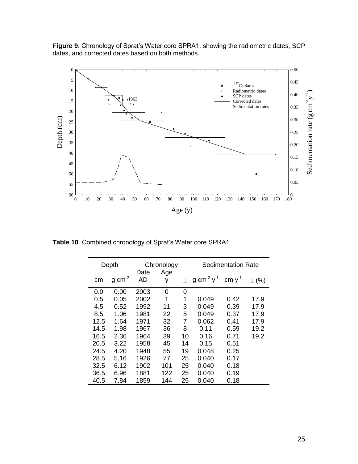**Figure 9**. Chronology of Sprat's Water core SPRA1, showing the radiometric dates, SCP dates, and corrected dates based on both methods.



**Table 10**. Combined chronology of Sprat's Water core SPRA1

|      | Depth                 |            | Chronology |    | Sedimentation Rate          |             |           |
|------|-----------------------|------------|------------|----|-----------------------------|-------------|-----------|
| cm   | $g \, \text{cm}^{-2}$ | Date<br>AD | Age<br>у   | 土  | g cm <sup>-2</sup> $y^{-1}$ | cm $y^{-1}$ | $\pm$ (%) |
| 0.0  | 0.00                  | 2003       | 0          | 0  |                             |             |           |
| 0.5  | 0.05                  | 2002       | 1          | 1  | 0.049                       | 0.42        | 17.9      |
| 4.5  | 0.52                  | 1992       | 11         | 3  | 0.049                       | 0.39        | 17.9      |
| 8.5  | 1.06                  | 1981       | 22         | 5  | 0.049                       | 0.37        | 17.9      |
| 12.5 | 1.64                  | 1971       | 32         | 7  | 0.062                       | 0.41        | 17.9      |
| 14.5 | 1.98                  | 1967       | 36         | 8  | 0.11                        | 0.59        | 19.2      |
| 16.5 | 2.36                  | 1964       | 39         | 10 | 0.16                        | 0.71        | 19.2      |
| 20.5 | 3.22                  | 1958       | 45         | 14 | 0.15                        | 0.51        |           |
| 24.5 | 4.20                  | 1948       | 55         | 19 | 0.048                       | 0.25        |           |
| 28.5 | 5.16                  | 1926       | 77         | 25 | 0.040                       | 0.17        |           |
| 32.5 | 6.12                  | 1902       | 101        | 25 | 0.040                       | 0.18        |           |
| 36.5 | 6.96                  | 1881       | 122        | 25 | 0.040                       | 0.19        |           |
| 40.5 | 7.84                  | 1859       | 144        | 25 | 0.040                       | 0.18        |           |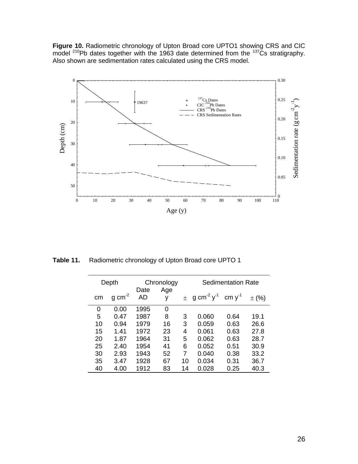**Figure 10.** Radiometric chronology of Upton Broad core UPTO1 showing CRS and CIC model  $^{210}$ Pb dates together with the 1963 date determined from the  $^{137}$ Cs stratigraphy. Also shown are sedimentation rates calculated using the CRS model.



**Table 11.** Radiometric chronology of Upton Broad core UPTO 1

|    | Depth               | Chronology |          |       |                             | <b>Sedimentation Rate</b> |           |
|----|---------------------|------------|----------|-------|-----------------------------|---------------------------|-----------|
| cm | $g \text{ cm}^{-2}$ | Date<br>AD | Age<br>у | $\pm$ | g cm <sup>-2</sup> $y^{-1}$ | cm $y^{-1}$               | $\pm$ (%) |
| 0  | 0.00                | 1995       | 0        |       |                             |                           |           |
| 5  | 0.47                | 1987       | 8        | 3     | 0.060                       | 0.64                      | 19.1      |
| 10 | 0.94                | 1979       | 16       | 3     | 0.059                       | 0.63                      | 26.6      |
| 15 | 1.41                | 1972       | 23       | 4     | 0.061                       | 0.63                      | 27.8      |
| 20 | 1.87                | 1964       | 31       | 5     | 0.062                       | 0.63                      | 28.7      |
| 25 | 2.40                | 1954       | 41       | 6     | 0.052                       | 0.51                      | 30.9      |
| 30 | 2.93                | 1943       | 52       | 7     | 0.040                       | 0.38                      | 33.2      |
| 35 | 3.47                | 1928       | 67       | 10    | 0.034                       | 0.31                      | 36.7      |
| 40 | 4.00                | 1912       | 83       | 14    | 0.028                       | 0.25                      | 40.3      |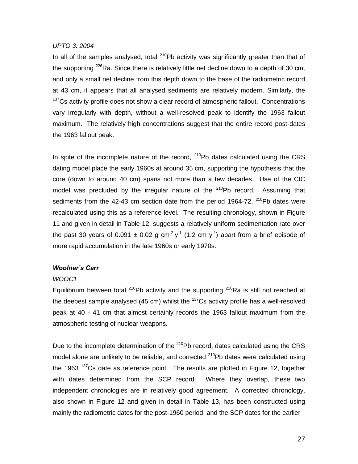#### *UPTO 3: 2004*

In all of the samples analysed, total  $^{210}$ Pb activity was significantly greater than that of the supporting  $226$ Ra. Since there is relatively little net decline down to a depth of 30 cm, and only a small net decline from this depth down to the base of the radiometric record at 43 cm, it appears that all analysed sediments are relatively modern. Similarly, the  $137$ Cs activity profile does not show a clear record of atmospheric fallout. Concentrations vary irregularly with depth, without a well-resolved peak to identify the 1963 fallout maximum. The relatively high concentrations suggest that the entire record post-dates the 1963 fallout peak.

In spite of the incomplete nature of the record,  $210Pb$  dates calculated using the CRS dating model place the early 1960s at around 35 cm, supporting the hypothesis that the core (down to around 40 cm) spans not more than a few decades. Use of the CIC model was precluded by the irregular nature of the  $210Pb$  record. Assuming that sediments from the 42-43 cm section date from the period 1964-72,  $^{210}$ Pb dates were recalculated using this as a reference level. The resulting chronology, shown in Figure 11 and given in detail in Table 12, suggests a relatively uniform sedimentation rate over the past 30 years of 0.091  $\pm$  0.02 g cm<sup>-2</sup> y<sup>-1</sup> (1.2 cm y<sup>-1</sup>) apart from a brief episode of more rapid accumulation in the late 1960s or early 1970s.

# *Woolner's Carr*

# *WOOC1*

Equilibrium between total  $^{210}$ Pb activity and the supporting  $^{226}$ Ra is still not reached at the deepest sample analysed (45 cm) whilst the  $137$ Cs activity profile has a well-resolved peak at 40 - 41 cm that almost certainly records the 1963 fallout maximum from the atmospheric testing of nuclear weapons.

Due to the incomplete determination of the <sup>210</sup>Pb record, dates calculated using the CRS model alone are unlikely to be reliable, and corrected  $^{210}$ Pb dates were calculated using the 1963  $137$ Cs date as reference point. The results are plotted in Figure 12, together with dates determined from the SCP record. Where they overlap, these two independent chronologies are in relatively good agreement. A corrected chronology, also shown in Figure 12 and given in detail in Table 13, has been constructed using mainly the radiometric dates for the post-1960 period, and the SCP dates for the earlier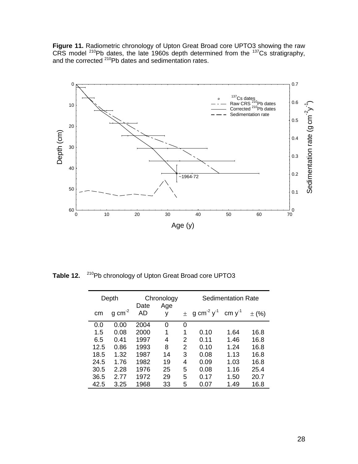**Figure 11.** Radiometric chronology of Upton Great Broad core UPTO3 showing the raw CRS model  $^{210}$ Pb dates, the late 1960s depth determined from the  $^{137}$ Cs stratigraphy, and the corrected <sup>210</sup>Pb dates and sedimentation rates.



**Table 12.** <sup>210</sup>Pb chronology of Upton Great Broad core UPTO3

| Depth |                       | Chronology |          | <b>Sedimentation Rate</b> |                                          |             |           |
|-------|-----------------------|------------|----------|---------------------------|------------------------------------------|-------------|-----------|
| cm    | $g \, \text{cm}^{-2}$ | Date<br>AD | Age<br>У |                           | $\pm$ g cm <sup>-2</sup> y <sup>-1</sup> | cm $y^{-1}$ | $\pm$ (%) |
| 0.0   | 0.00                  | 2004       | 0        | 0                         |                                          |             |           |
| 1.5   | 0.08                  | 2000       | 1        | 1                         | 0.10                                     | 1.64        | 16.8      |
| 6.5   | 0.41                  | 1997       | 4        | 2                         | 0.11                                     | 1.46        | 16.8      |
| 12.5  | 0.86                  | 1993       | 8        | 2                         | 0.10                                     | 1.24        | 16.8      |
| 18.5  | 1.32                  | 1987       | 14       | 3                         | 0.08                                     | 1.13        | 16.8      |
| 24.5  | 1.76                  | 1982       | 19       | 4                         | 0.09                                     | 1.03        | 16.8      |
| 30.5  | 2.28                  | 1976       | 25       | 5                         | 0.08                                     | 1.16        | 25.4      |
| 36.5  | 2.77                  | 1972       | 29       | 5                         | 0.17                                     | 1.50        | 20.7      |
| 42.5  | 3.25                  | 1968       | 33       | 5                         | 0.07                                     | 1.49        | 16.8      |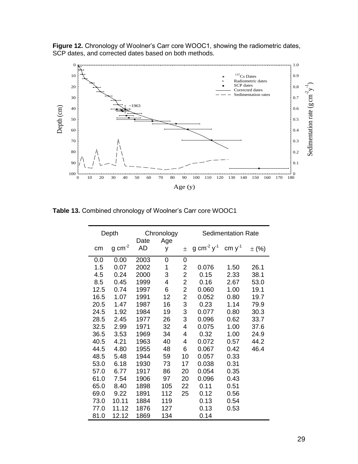**Figure 12.** Chronology of Woolner's Carr core WOOC1, showing the radiometric dates, SCP dates, and corrected dates based on both methods.



**Table 13.** Combined chronology of Woolner's Carr core WOOC1

| Depth |                     |            | Chronology |    | <b>Sedimentation Rate</b>                             |      |           |
|-------|---------------------|------------|------------|----|-------------------------------------------------------|------|-----------|
| cm    | $g \text{ cm}^{-2}$ | Date<br>AD | Age<br>У   | 土  | g cm <sup>-2</sup> y <sup>-1</sup> cm y <sup>-1</sup> |      | $\pm$ (%) |
| 0.0   | 0.00                | 2003       | 0          | 0  |                                                       |      |           |
| 1.5   | 0.07                | 2002       | 1          | 2  | 0.076                                                 | 1.50 | 26.1      |
| 4.5   | 0.24                | 2000       | 3          | 2  | 0.15                                                  | 2.33 | 38.1      |
| 8.5   | 0.45                | 1999       | 4          | 2  | 0.16                                                  | 2.67 | 53.0      |
| 12.5  | 0.74                | 1997       | 6          | 2  | 0.060                                                 | 1.00 | 19.1      |
| 16.5  | 1.07                | 1991       | 12         | 2  | 0.052                                                 | 0.80 | 19.7      |
| 20.5  | 1.47                | 1987       | 16         | 3  | 0.23                                                  | 1.14 | 79.9      |
| 24.5  | 1.92                | 1984       | 19         | 3  | 0.077                                                 | 0.80 | 30.3      |
| 28.5  | 2.45                | 1977       | 26         | 3  | 0.096                                                 | 0.62 | 33.7      |
| 32.5  | 2.99                | 1971       | 32         | 4  | 0.075                                                 | 1.00 | 37.6      |
| 36.5  | 3.53                | 1969       | 34         | 4  | 0.32                                                  | 1.00 | 24.9      |
| 40.5  | 4.21                | 1963       | 40         | 4  | 0.072                                                 | 0.57 | 44.2      |
| 44.5  | 4.80                | 1955       | 48         | 6  | 0.067                                                 | 0.42 | 46.4      |
| 48.5  | 5.48                | 1944       | 59         | 10 | 0.057                                                 | 0.33 |           |
| 53.0  | 6.18                | 1930       | 73         | 17 | 0.038                                                 | 0.31 |           |
| 57.0  | 6.77                | 1917       | 86         | 20 | 0.054                                                 | 0.35 |           |
| 61.0  | 7.54                | 1906       | 97         | 20 | 0.096                                                 | 0.43 |           |
| 65.0  | 8.40                | 1898       | 105        | 22 | 0.11                                                  | 0.51 |           |
| 69.0  | 9.22                | 1891       | 112        | 25 | 0.12                                                  | 0.56 |           |
| 73.0  | 10.11               | 1884       | 119        |    | 0.13                                                  | 0.54 |           |
| 77.0  | 11.12               | 1876       | 127        |    | 0.13                                                  | 0.53 |           |
| 81.0  | 12.12               | 1869       | 134        |    | 0.14                                                  |      |           |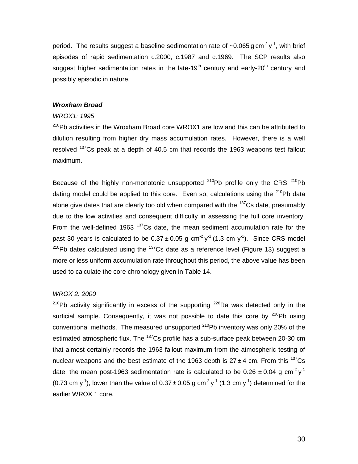period. The results suggest a baseline sedimentation rate of  $\sim$ 0.065 g cm<sup>-2</sup> y<sup>-1</sup>, with brief episodes of rapid sedimentation c.2000, c.1987 and c.1969. The SCP results also suggest higher sedimentation rates in the late-19<sup>th</sup> century and early-20<sup>th</sup> century and possibly episodic in nature.

# *Wroxham Broad*

#### *WROX1: 1995*

 $210Pb$  activities in the Wroxham Broad core WROX1 are low and this can be attributed to dilution resulting from higher dry mass accumulation rates. However, there is a well resolved  $137$ Cs peak at a depth of 40.5 cm that records the 1963 weapons test fallout maximum.

Because of the highly non-monotonic unsupported  $^{210}Pb$  profile only the CRS  $^{210}Pb$ dating model could be applied to this core. Even so, calculations using the  $^{210}$ Pb data alone give dates that are clearly too old when compared with the  $137$ Cs date, presumably due to the low activities and consequent difficulty in assessing the full core inventory. From the well-defined 1963  $137$ Cs date, the mean sediment accumulation rate for the past 30 years is calculated to be  $0.37 \pm 0.05$  g cm<sup>-2</sup> y<sup>-1</sup> (1.3 cm y<sup>-1</sup>). Since CRS model  $210$ Pb dates calculated using the  $137$ Cs date as a reference level (Figure 13) suggest a more or less uniform accumulation rate throughout this period, the above value has been used to calculate the core chronology given in Table 14.

# *WROX 2: 2000*

 $210Pb$  activity significantly in excess of the supporting  $226Ra$  was detected only in the surficial sample. Consequently, it was not possible to date this core by  $210Pb$  using conventional methods. The measured unsupported  $^{210}$ Pb inventory was only 20% of the estimated atmospheric flux. The <sup>137</sup>Cs profile has a sub-surface peak between 20-30 cm that almost certainly records the 1963 fallout maximum from the atmospheric testing of nuclear weapons and the best estimate of the 1963 depth is  $27 \pm 4$  cm. From this  $137$ Cs date, the mean post-1963 sedimentation rate is calculated to be 0.26  $\pm$  0.04 g cm<sup>-2</sup> y<sup>-1</sup> (0.73 cm y<sup>-1</sup>), lower than the value of 0.37  $\pm$  0.05 g cm<sup>-2</sup> y<sup>-1</sup> (1.3 cm y<sup>-1</sup>) determined for the earlier WROX 1 core.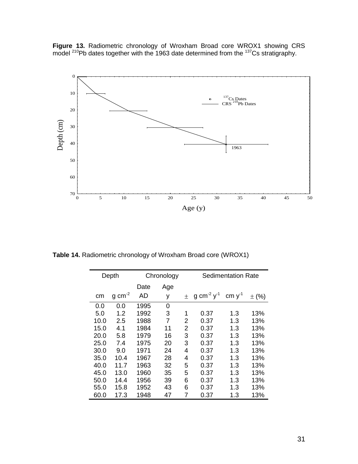**Figure 13.** Radiometric chronology of Wroxham Broad core WROX1 showing CRS model  $^{210}$ Pb dates together with the 1963 date determined from the  $^{137}$ Cs stratigraphy.



**Table 14.** Radiometric chronology of Wroxham Broad core (WROX1)

| Depth |                       | Chronology |     |   | <b>Sedimentation Rate</b>   |             |           |
|-------|-----------------------|------------|-----|---|-----------------------------|-------------|-----------|
|       |                       | Date       | Age |   |                             |             |           |
| cm    | $g \, \text{cm}^{-2}$ | AD         | у   | 土 | g cm <sup>-2</sup> $y^{-1}$ | cm $y^{-1}$ | $\pm$ (%) |
| 0.0   | 0.0                   | 1995       | 0   |   |                             |             |           |
| 5.0   | 1.2                   | 1992       | 3   | 1 | 0.37                        | 1.3         | 13%       |
| 10.0  | 2.5                   | 1988       | 7   | 2 | 0.37                        | 1.3         | 13%       |
| 15.0  | 4.1                   | 1984       | 11  | 2 | 0.37                        | 1.3         | 13%       |
| 20.0  | 5.8                   | 1979       | 16  | 3 | 0.37                        | 1.3         | 13%       |
| 25.0  | 7.4                   | 1975       | 20  | 3 | 0.37                        | 1.3         | 13%       |
| 30.0  | 9.0                   | 1971       | 24  | 4 | 0.37                        | 1.3         | 13%       |
| 35.0  | 10.4                  | 1967       | 28  | 4 | 0.37                        | 1.3         | 13%       |
| 40.0  | 11.7                  | 1963       | 32  | 5 | 0.37                        | 1.3         | 13%       |
| 45.0  | 13.0                  | 1960       | 35  | 5 | 0.37                        | 1.3         | 13%       |
| 50.0  | 14.4                  | 1956       | 39  | 6 | 0.37                        | 1.3         | 13%       |
| 55.0  | 15.8                  | 1952       | 43  | 6 | 0.37                        | 1.3         | 13%       |
| 60.0  | 17.3                  | 1948       | 47  | 7 | 0.37                        | 1.3         | 13%       |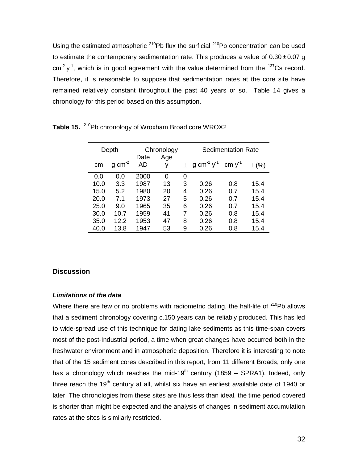Using the estimated atmospheric  $210Pb$  flux the surficial  $210Pb$  concentration can be used to estimate the contemporary sedimentation rate. This produces a value of  $0.30 \pm 0.07$  g  $\text{cm}^2$  y<sup>-1</sup>, which is in good agreement with the value determined from the <sup>137</sup>Cs record. Therefore, it is reasonable to suppose that sedimentation rates at the core site have remained relatively constant throughout the past 40 years or so. Table 14 gives a chronology for this period based on this assumption.

| Depth |                     | Chronology |          | Sedimentation Rate |                                          |             |           |
|-------|---------------------|------------|----------|--------------------|------------------------------------------|-------------|-----------|
| cm    | $g \text{ cm}^{-2}$ | Date<br>AD | Age<br>у |                    | $\pm$ g cm <sup>-2</sup> y <sup>-1</sup> | cm $y^{-1}$ | $\pm$ (%) |
| 0.0   | 0.0                 | 2000       | 0        | 0                  |                                          |             |           |
| 10.0  | 3.3                 | 1987       | 13       | 3                  | 0.26                                     | 0.8         | 15.4      |
| 15.0  | 5.2                 | 1980       | 20       | 4                  | 0.26                                     | 0.7         | 15.4      |
| 20.0  | 7.1                 | 1973       | 27       | 5                  | 0.26                                     | 0.7         | 15.4      |
| 25.0  | 9.0                 | 1965       | 35       | 6                  | 0.26                                     | 0.7         | 15.4      |
| 30.0  | 10.7                | 1959       | 41       | 7                  | 0.26                                     | 0.8         | 15.4      |
| 35.0  | 12.2                | 1953       | 47       | 8                  | 0.26                                     | 0.8         | 15.4      |
| 40.0  | 13.8                | 1947       | 53       | 9                  | 0.26                                     | 0.8         | 15.4      |

Table 15. <sup>210</sup>Pb chronology of Wroxham Broad core WROX2

# **Discussion**

#### *Limitations of the data*

Where there are few or no problems with radiometric dating, the half-life of  $210Pb$  allows that a sediment chronology covering c.150 years can be reliably produced. This has led to wide-spread use of this technique for dating lake sediments as this time-span covers most of the post-Industrial period, a time when great changes have occurred both in the freshwater environment and in atmospheric deposition. Therefore it is interesting to note that of the 15 sediment cores described in this report, from 11 different Broads, only one has a chronology which reaches the mid-19<sup>th</sup> century (1859 – SPRA1). Indeed, only three reach the 19<sup>th</sup> century at all, whilst six have an earliest available date of 1940 or later. The chronologies from these sites are thus less than ideal, the time period covered is shorter than might be expected and the analysis of changes in sediment accumulation rates at the sites is similarly restricted.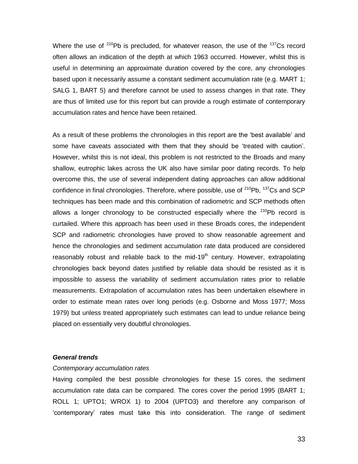Where the use of  $210Pb$  is precluded, for whatever reason, the use of the  $137Cs$  record often allows an indication of the depth at which 1963 occurred. However, whilst this is useful in determining an approximate duration covered by the core, any chronologies based upon it necessarily assume a constant sediment accumulation rate (e.g. MART 1; SALG 1, BART 5) and therefore cannot be used to assess changes in that rate. They are thus of limited use for this report but can provide a rough estimate of contemporary accumulation rates and hence have been retained.

As a result of these problems the chronologies in this report are the 'best available' and some have caveats associated with them that they should be 'treated with caution'. However, whilst this is not ideal, this problem is not restricted to the Broads and many shallow, eutrophic lakes across the UK also have similar poor dating records. To help overcome this, the use of several independent dating approaches can allow additional confidence in final chronologies. Therefore, where possible, use of  $^{210}$ Pb,  $^{137}$ Cs and SCP techniques has been made and this combination of radiometric and SCP methods often allows a longer chronology to be constructed especially where the  $210Pb$  record is curtailed. Where this approach has been used in these Broads cores, the independent SCP and radiometric chronologies have proved to show reasonable agreement and hence the chronologies and sediment accumulation rate data produced are considered reasonably robust and reliable back to the mid-19<sup>th</sup> century. However, extrapolating chronologies back beyond dates justified by reliable data should be resisted as it is impossible to assess the variability of sediment accumulation rates prior to reliable measurements. Extrapolation of accumulation rates has been undertaken elsewhere in order to estimate mean rates over long periods (e.g. Osborne and Moss 1977; Moss 1979) but unless treated appropriately such estimates can lead to undue reliance being placed on essentially very doubtful chronologies.

# *General trends*

#### *Contemporary accumulation rates*

Having compiled the best possible chronologies for these 15 cores, the sediment accumulation rate data can be compared. The cores cover the period 1995 (BART 1; ROLL 1; UPTO1; WROX 1) to 2004 (UPTO3) and therefore any comparison of 'contemporary' rates must take this into consideration. The range of sediment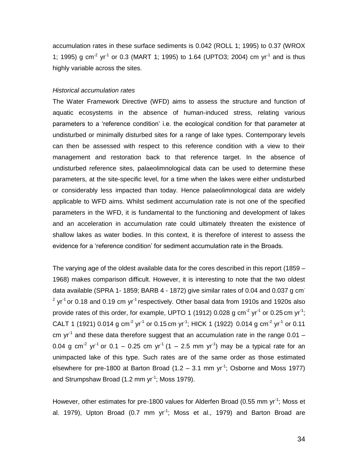accumulation rates in these surface sediments is 0.042 (ROLL 1; 1995) to 0.37 (WROX 1; 1995) g cm<sup>-2</sup> yr<sup>-1</sup> or 0.3 (MART 1; 1995) to 1.64 (UPTO3; 2004) cm yr<sup>-1</sup> and is thus highly variable across the sites.

### *Historical accumulation rates*

The Water Framework Directive (WFD) aims to assess the structure and function of aquatic ecosystems in the absence of human-induced stress, relating various parameters to a 'reference condition' i.e. the ecological condition for that parameter at undisturbed or minimally disturbed sites for a range of lake types. Contemporary levels can then be assessed with respect to this reference condition with a view to their management and restoration back to that reference target. In the absence of undisturbed reference sites, palaeolimnological data can be used to determine these parameters, at the site-specific level, for a time when the lakes were either undisturbed or considerably less impacted than today. Hence palaeolimnological data are widely applicable to WFD aims. Whilst sediment accumulation rate is not one of the specified parameters in the WFD, it is fundamental to the functioning and development of lakes and an acceleration in accumulation rate could ultimately threaten the existence of shallow lakes as water bodies. In this context, it is therefore of interest to assess the evidence for a 'reference condition' for sediment accumulation rate in the Broads.

The varying age of the oldest available data for the cores described in this report (1859 – 1968) makes comparison difficult. However, it is interesting to note that the two oldest data available (SPRA 1-1859; BARB 4 - 1872) give similar rates of 0.04 and 0.037 g cm<sup>-</sup> <sup>2</sup> yr<sup>-1</sup> or 0.18 and 0.19 cm yr<sup>-1</sup> respectively. Other basal data from 1910s and 1920s also provide rates of this order, for example, UPTO 1 (1912) 0.028 g cm<sup>-2</sup> yr<sup>-1</sup> or 0.25 cm yr<sup>-1</sup>; CALT 1 (1921) 0.014 g cm $^{-2}$  yr $^{-1}$  or 0.15 cm yr $^{-1}$ ; HICK 1 (1922) 0.014 g cm $^{-2}$  yr $^{-1}$  or 0.11 cm yr<sup>-1</sup> and these data therefore suggest that an accumulation rate in the range 0.01  $-$ 0.04 g cm<sup>-2</sup> yr<sup>-1</sup> or 0.1 – 0.25 cm yr<sup>-1</sup> (1 – 2.5 mm yr<sup>-1</sup>) may be a typical rate for an unimpacted lake of this type. Such rates are of the same order as those estimated elsewhere for pre-1800 at Barton Broad  $(1.2 - 3.1 \text{ mm yr}^1)$ ; Osborne and Moss 1977) and Strumpshaw Broad (1.2 mm yr<sup>-1</sup>; Moss 1979).

However, other estimates for pre-1800 values for Alderfen Broad (0.55 mm yr<sup>-1</sup>; Moss et al. 1979), Upton Broad (0.7 mm  $yr^{-1}$ ; Moss et al., 1979) and Barton Broad are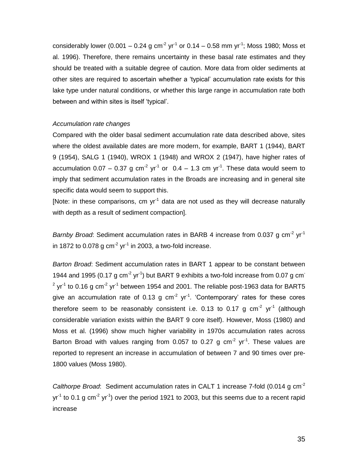considerably lower (0.001 – 0.24 g cm<sup>-2</sup> yr<sup>-1</sup> or 0.14 – 0.58 mm yr<sup>-1</sup>; Moss 1980; Moss et al. 1996). Therefore, there remains uncertainty in these basal rate estimates and they should be treated with a suitable degree of caution. More data from older sediments at other sites are required to ascertain whether a 'typical' accumulation rate exists for this lake type under natural conditions, or whether this large range in accumulation rate both between and within sites is itself 'typical'.

# *Accumulation rate changes*

Compared with the older basal sediment accumulation rate data described above, sites where the oldest available dates are more modern, for example, BART 1 (1944), BART 9 (1954), SALG 1 (1940), WROX 1 (1948) and WROX 2 (1947), have higher rates of accumulation 0.07 – 0.37 g cm<sup>-2</sup> yr<sup>-1</sup> or  $0.4 - 1.3$  cm yr<sup>-1</sup>. These data would seem to imply that sediment accumulation rates in the Broads are increasing and in general site specific data would seem to support this.

[Note: in these comparisons, cm yr<sup>-1</sup> data are not used as they will decrease naturally with depth as a result of sediment compaction].

Barnby Broad: Sediment accumulation rates in BARB 4 increase from 0.037 g cm<sup>-2</sup> yr<sup>-1</sup> in 1872 to 0.078 g cm<sup>-2</sup> yr<sup>-1</sup> in 2003, a two-fold increase.

*Barton Broad*: Sediment accumulation rates in BART 1 appear to be constant between 1944 and 1995 (0.17 g cm<sup>-2</sup> yr<sup>-1</sup>) but BART 9 exhibits a two-fold increase from 0.07 g cm<sup>-</sup> <sup>2</sup> yr<sup>-1</sup> to 0.16 g cm<sup>-2</sup> yr<sup>-1</sup> between 1954 and 2001. The reliable post-1963 data for BART5 give an accumulation rate of 0.13 g  $cm<sup>-2</sup>$  yr<sup>-1</sup>. 'Contemporary' rates for these cores therefore seem to be reasonably consistent i.e. 0.13 to 0.17 g  $cm^{-2}$  yr<sup>-1</sup> (although considerable variation exists within the BART 9 core itself). However, Moss (1980) and Moss et al. (1996) show much higher variability in 1970s accumulation rates across Barton Broad with values ranging from 0.057 to 0.27 g  $cm<sup>-2</sup>$  yr<sup>-1</sup>. These values are reported to represent an increase in accumulation of between 7 and 90 times over pre-1800 values (Moss 1980).

*Calthorpe Broad*: Sediment accumulation rates in CALT 1 increase 7-fold (0.014 g cm-2 yr<sup>-1</sup> to 0.1 g cm<sup>-2</sup> yr<sup>-1</sup>) over the period 1921 to 2003, but this seems due to a recent rapid increase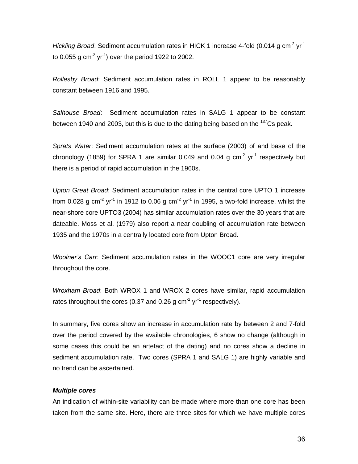Hickling Broad: Sediment accumulation rates in HICK 1 increase 4-fold (0.014 g cm<sup>-2</sup> yr<sup>-1</sup> to 0.055 g cm $^{-2}$  yr $^{-1}$ ) over the period 1922 to 2002.

*Rollesby Broad*: Sediment accumulation rates in ROLL 1 appear to be reasonably constant between 1916 and 1995.

*Salhouse Broad*: Sediment accumulation rates in SALG 1 appear to be constant between 1940 and 2003, but this is due to the dating being based on the <sup>137</sup>Cs peak.

*Sprats Water*: Sediment accumulation rates at the surface (2003) of and base of the chronology (1859) for SPRA 1 are similar 0.049 and 0.04 g  $cm<sup>-2</sup>$  yr<sup>-1</sup> respectively but there is a period of rapid accumulation in the 1960s.

*Upton Great Broad*: Sediment accumulation rates in the central core UPTO 1 increase from 0.028 g cm<sup>-2</sup> yr<sup>-1</sup> in 1912 to 0.06 g cm<sup>-2</sup> yr<sup>-1</sup> in 1995, a two-fold increase, whilst the near-shore core UPTO3 (2004) has similar accumulation rates over the 30 years that are dateable. Moss et al. (1979) also report a near doubling of accumulation rate between 1935 and the 1970s in a centrally located core from Upton Broad.

*Woolner's Carr*: Sediment accumulation rates in the WOOC1 core are very irregular throughout the core.

*Wroxham Broad*: Both WROX 1 and WROX 2 cores have similar, rapid accumulation rates throughout the cores (0.37 and 0.26 g cm<sup>-2</sup> yr<sup>-1</sup> respectively).

In summary, five cores show an increase in accumulation rate by between 2 and 7-fold over the period covered by the available chronologies, 6 show no change (although in some cases this could be an artefact of the dating) and no cores show a decline in sediment accumulation rate. Two cores (SPRA 1 and SALG 1) are highly variable and no trend can be ascertained.

# *Multiple cores*

An indication of within-site variability can be made where more than one core has been taken from the same site. Here, there are three sites for which we have multiple cores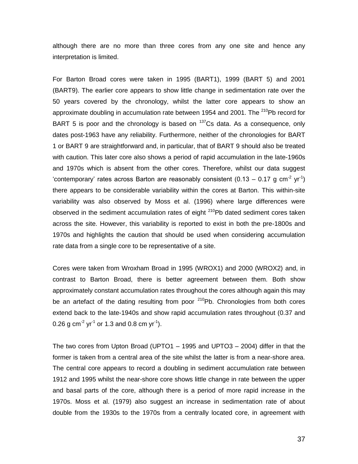although there are no more than three cores from any one site and hence any interpretation is limited.

For Barton Broad cores were taken in 1995 (BART1), 1999 (BART 5) and 2001 (BART9). The earlier core appears to show little change in sedimentation rate over the 50 years covered by the chronology, whilst the latter core appears to show an approximate doubling in accumulation rate between 1954 and 2001. The  $^{210}$ Pb record for BART 5 is poor and the chronology is based on  $137$ Cs data. As a consequence, only dates post-1963 have any reliability. Furthermore, neither of the chronologies for BART 1 or BART 9 are straightforward and, in particular, that of BART 9 should also be treated with caution. This later core also shows a period of rapid accumulation in the late-1960s and 1970s which is absent from the other cores. Therefore, whilst our data suggest 'contemporary' rates across Barton are reasonably consistent (0.13 – 0.17 g cm<sup>-2</sup> yr<sup>-1</sup>) there appears to be considerable variability within the cores at Barton. This within-site variability was also observed by Moss et al. (1996) where large differences were observed in the sediment accumulation rates of eight  $210Pb$  dated sediment cores taken across the site. However, this variability is reported to exist in both the pre-1800s and 1970s and highlights the caution that should be used when considering accumulation rate data from a single core to be representative of a site.

Cores were taken from Wroxham Broad in 1995 (WROX1) and 2000 (WROX2) and, in contrast to Barton Broad, there is better agreement between them. Both show approximately constant accumulation rates throughout the cores although again this may be an artefact of the dating resulting from poor  $210Pb$ . Chronologies from both cores extend back to the late-1940s and show rapid accumulation rates throughout (0.37 and 0.26 g cm<sup>-2</sup> yr<sup>-1</sup> or 1.3 and 0.8 cm yr<sup>-1</sup>).

The two cores from Upton Broad (UPTO1 – 1995 and UPTO3 – 2004) differ in that the former is taken from a central area of the site whilst the latter is from a near-shore area. The central core appears to record a doubling in sediment accumulation rate between 1912 and 1995 whilst the near-shore core shows little change in rate between the upper and basal parts of the core, although there is a period of more rapid increase in the 1970s. Moss et al. (1979) also suggest an increase in sedimentation rate of about double from the 1930s to the 1970s from a centrally located core, in agreement with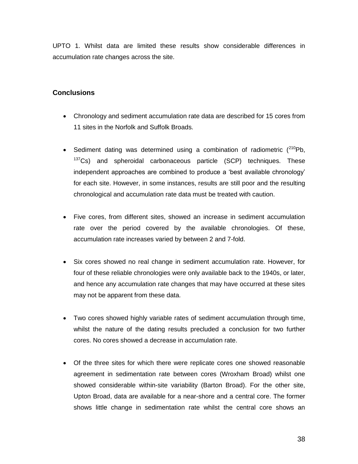UPTO 1. Whilst data are limited these results show considerable differences in accumulation rate changes across the site.

# **Conclusions**

- Chronology and sediment accumulation rate data are described for 15 cores from 11 sites in the Norfolk and Suffolk Broads.
- Sediment dating was determined using a combination of radiometric  $(^{210}Pb)$ ,  $137Cs$ ) and spheroidal carbonaceous particle (SCP) techniques. These independent approaches are combined to produce a 'best available chronology' for each site. However, in some instances, results are still poor and the resulting chronological and accumulation rate data must be treated with caution.
- Five cores, from different sites, showed an increase in sediment accumulation rate over the period covered by the available chronologies. Of these, accumulation rate increases varied by between 2 and 7-fold.
- Six cores showed no real change in sediment accumulation rate. However, for four of these reliable chronologies were only available back to the 1940s, or later, and hence any accumulation rate changes that may have occurred at these sites may not be apparent from these data.
- Two cores showed highly variable rates of sediment accumulation through time, whilst the nature of the dating results precluded a conclusion for two further cores. No cores showed a decrease in accumulation rate.
- Of the three sites for which there were replicate cores one showed reasonable agreement in sedimentation rate between cores (Wroxham Broad) whilst one showed considerable within-site variability (Barton Broad). For the other site, Upton Broad, data are available for a near-shore and a central core. The former shows little change in sedimentation rate whilst the central core shows an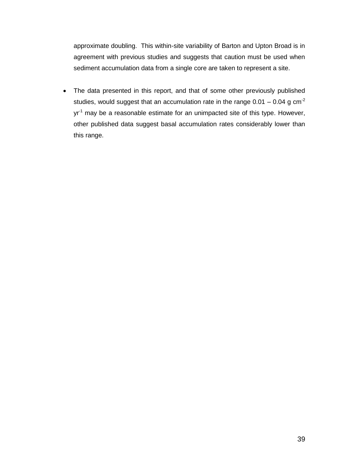approximate doubling. This within-site variability of Barton and Upton Broad is in agreement with previous studies and suggests that caution must be used when sediment accumulation data from a single core are taken to represent a site.

 The data presented in this report, and that of some other previously published studies, would suggest that an accumulation rate in the range  $0.01 - 0.04$  g cm<sup>-2</sup> yr<sup>-1</sup> may be a reasonable estimate for an unimpacted site of this type. However, other published data suggest basal accumulation rates considerably lower than this range.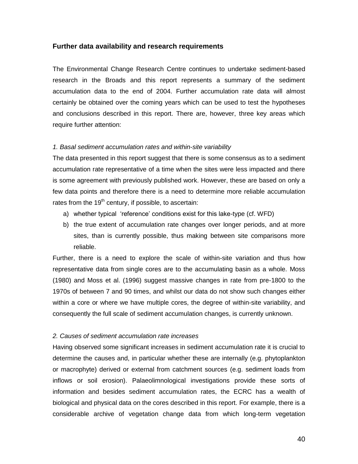# **Further data availability and research requirements**

The Environmental Change Research Centre continues to undertake sediment-based research in the Broads and this report represents a summary of the sediment accumulation data to the end of 2004. Further accumulation rate data will almost certainly be obtained over the coming years which can be used to test the hypotheses and conclusions described in this report. There are, however, three key areas which require further attention:

# *1. Basal sediment accumulation rates and within-site variability*

The data presented in this report suggest that there is some consensus as to a sediment accumulation rate representative of a time when the sites were less impacted and there is some agreement with previously published work. However, these are based on only a few data points and therefore there is a need to determine more reliable accumulation rates from the  $19<sup>th</sup>$  century, if possible, to ascertain:

- a) whether typical 'reference' conditions exist for this lake-type (cf. WFD)
- b) the true extent of accumulation rate changes over longer periods, and at more sites, than is currently possible, thus making between site comparisons more reliable.

Further, there is a need to explore the scale of within-site variation and thus how representative data from single cores are to the accumulating basin as a whole. Moss (1980) and Moss et al. (1996) suggest massive changes in rate from pre-1800 to the 1970s of between 7 and 90 times, and whilst our data do not show such changes either within a core or where we have multiple cores, the degree of within-site variability, and consequently the full scale of sediment accumulation changes, is currently unknown.

# *2. Causes of sediment accumulation rate increases*

Having observed some significant increases in sediment accumulation rate it is crucial to determine the causes and, in particular whether these are internally (e.g. phytoplankton or macrophyte) derived or external from catchment sources (e.g. sediment loads from inflows or soil erosion). Palaeolimnological investigations provide these sorts of information and besides sediment accumulation rates, the ECRC has a wealth of biological and physical data on the cores described in this report. For example, there is a considerable archive of vegetation change data from which long-term vegetation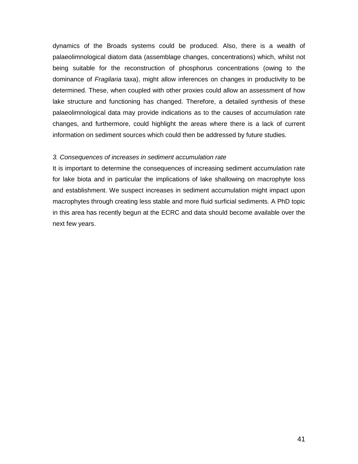dynamics of the Broads systems could be produced. Also, there is a wealth of palaeolimnological diatom data (assemblage changes, concentrations) which, whilst not being suitable for the reconstruction of phosphorus concentrations (owing to the dominance of *Fragilaria* taxa), might allow inferences on changes in productivity to be determined. These, when coupled with other proxies could allow an assessment of how lake structure and functioning has changed. Therefore, a detailed synthesis of these palaeolimnological data may provide indications as to the causes of accumulation rate changes, and furthermore, could highlight the areas where there is a lack of current information on sediment sources which could then be addressed by future studies.

#### *3. Consequences of increases in sediment accumulation rate*

It is important to determine the consequences of increasing sediment accumulation rate for lake biota and in particular the implications of lake shallowing on macrophyte loss and establishment. We suspect increases in sediment accumulation might impact upon macrophytes through creating less stable and more fluid surficial sediments. A PhD topic in this area has recently begun at the ECRC and data should become available over the next few years.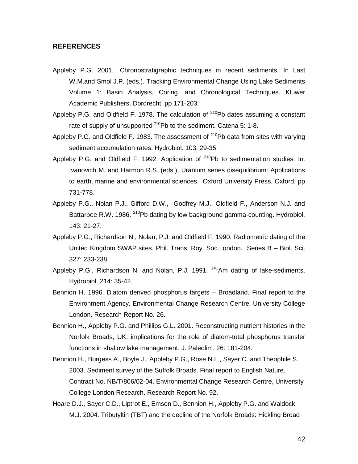# **REFERENCES**

- Appleby P.G. 2001. Chronostratigraphic techniques in recent sediments. In Last W.M.and Smol J.P. (eds.). Tracking Environmental Change Using Lake Sediments Volume 1: Basin Analysis, Coring, and Chronological Techniques. Kluwer Academic Publishers, Dordrecht. pp 171-203.
- Appleby P.G. and Oldfield F. 1978. The calculation of  $^{210}$ Pb dates assuming a constant rate of supply of unsupported  $2^{10}$ Pb to the sediment. Catena 5: 1-8.
- Appleby P.G. and Oldfield F. 1983. The assessment of  $^{210}$ Pb data from sites with varying sediment accumulation rates. Hydrobiol. 103: 29-35.
- Appleby P.G. and Oldfield F. 1992. Application of  $^{210}$ Pb to sedimentation studies. In: Ivanovich M. and Harmon R.S. (eds.), Uranium series disequilibrium: Applications to earth, marine and environmental sciences. Oxford University Press, Oxford. pp 731-778.
- Appleby P.G., Nolan P.J., Gifford D.W., Godfrey M.J., Oldfield F., Anderson N.J. and Battarbee R.W. 1986. <sup>210</sup>Pb dating by low background gamma-counting. Hydrobiol. 143: 21-27.
- Appleby P.G., Richardson N., Nolan, P.J. and Oldfield F. 1990. Radiometric dating of the United Kingdom SWAP sites. Phil. Trans. Roy. Soc.London. Series B – Biol. Sci. 327: 233-238.
- Appleby P.G., Richardson N. and Nolan, P.J. 1991.  $^{241}$ Am dating of lake-sediments. Hydrobiol. 214: 35-42.
- Bennion H. 1996. Diatom derived phosphorus targets Broadland. Final report to the Environment Agency. Environmental Change Research Centre, University College London. Research Report No. 26.
- Bennion H., Appleby P.G. and Phillips G.L. 2001. Reconstructing nutrient histories in the Norfolk Broads, UK: implications for the role of diatom-total phosphorus transfer functions in shallow lake management. J. Paleolim. 26: 181-204.
- Bennion H., Burgess A., Boyle J., Appleby P.G., Rose N.L., Sayer C. and Theophile S. 2003. Sediment survey of the Suffolk Broads. Final report to English Nature. Contract No. NB/T/806/02-04. Environmental Change Research Centre, University College London Research. Research Report No. 92.
- Hoare D.J., Sayer C.D., Liptrot E., Emson D., Bennion H., Appleby P.G. and Waldock M.J. 2004. Tributyltin (TBT) and the decline of the Norfolk Broads: Hickling Broad